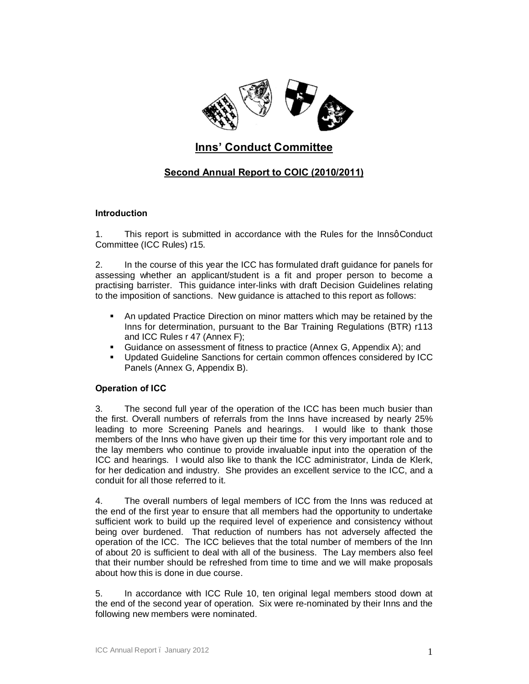

## **Inns' Conduct Committee**

## **Second Annual Report to COIC (2010/2011)**

## **Introduction**

1. This report is submitted in accordance with the Rules for the InnsqConduct Committee (ICC Rules) r15.

2. In the course of this year the ICC has formulated draft guidance for panels for assessing whether an applicant/student is a fit and proper person to become a practising barrister. This guidance inter-links with draft Decision Guidelines relating to the imposition of sanctions. New guidance is attached to this report as follows:

- **•** An updated Practice Direction on minor matters which may be retained by the Inns for determination, pursuant to the Bar Training Regulations (BTR) r113 and ICC Rules r 47 (Annex F);
- ß Guidance on assessment of fitness to practice (Annex G, Appendix A); and
- ß Updated Guideline Sanctions for certain common offences considered by ICC Panels (Annex G, Appendix B).

## **Operation of ICC**

3. The second full year of the operation of the ICC has been much busier than the first. Overall numbers of referrals from the Inns have increased by nearly 25% leading to more Screening Panels and hearings. I would like to thank those members of the Inns who have given up their time for this very important role and to the lay members who continue to provide invaluable input into the operation of the ICC and hearings. I would also like to thank the ICC administrator, Linda de Klerk, for her dedication and industry. She provides an excellent service to the ICC, and a conduit for all those referred to it.

4. The overall numbers of legal members of ICC from the Inns was reduced at the end of the first year to ensure that all members had the opportunity to undertake sufficient work to build up the required level of experience and consistency without being over burdened. That reduction of numbers has not adversely affected the operation of the ICC. The ICC believes that the total number of members of the Inn of about 20 is sufficient to deal with all of the business. The Lay members also feel that their number should be refreshed from time to time and we will make proposals about how this is done in due course.

5. In accordance with ICC Rule 10, ten original legal members stood down at the end of the second year of operation. Six were re-nominated by their Inns and the following new members were nominated.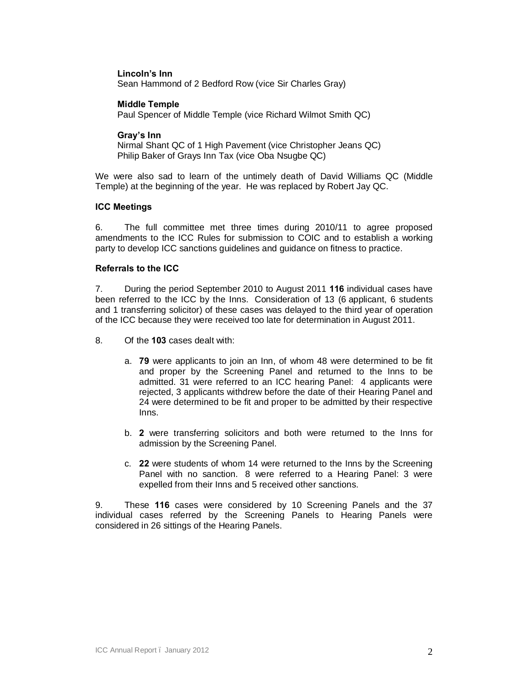## **Lincoln's Inn**

Sean Hammond of 2 Bedford Row (vice Sir Charles Gray)

### **Middle Temple**

Paul Spencer of Middle Temple (vice Richard Wilmot Smith QC)

### **Gray's Inn**

Nirmal Shant QC of 1 High Pavement (vice Christopher Jeans QC) Philip Baker of Grays Inn Tax (vice Oba Nsugbe QC)

We were also sad to learn of the untimely death of David Williams QC (Middle Temple) at the beginning of the year. He was replaced by Robert Jay QC.

## **ICC Meetings**

6. The full committee met three times during 2010/11 to agree proposed amendments to the ICC Rules for submission to COIC and to establish a working party to develop ICC sanctions guidelines and guidance on fitness to practice.

## **Referrals to the ICC**

7. During the period September 2010 to August 2011 **116** individual cases have been referred to the ICC by the Inns. Consideration of 13 (6 applicant, 6 students and 1 transferring solicitor) of these cases was delayed to the third year of operation of the ICC because they were received too late for determination in August 2011.

8. Of the **103** cases dealt with:

- a. **79** were applicants to join an Inn, of whom 48 were determined to be fit and proper by the Screening Panel and returned to the Inns to be admitted. 31 were referred to an ICC hearing Panel: 4 applicants were rejected, 3 applicants withdrew before the date of their Hearing Panel and 24 were determined to be fit and proper to be admitted by their respective Inns.
- b. **2** were transferring solicitors and both were returned to the Inns for admission by the Screening Panel.
- c. **22** were students of whom 14 were returned to the Inns by the Screening Panel with no sanction. 8 were referred to a Hearing Panel: 3 were expelled from their Inns and 5 received other sanctions.

9. These **116** cases were considered by 10 Screening Panels and the 37 individual cases referred by the Screening Panels to Hearing Panels were considered in 26 sittings of the Hearing Panels.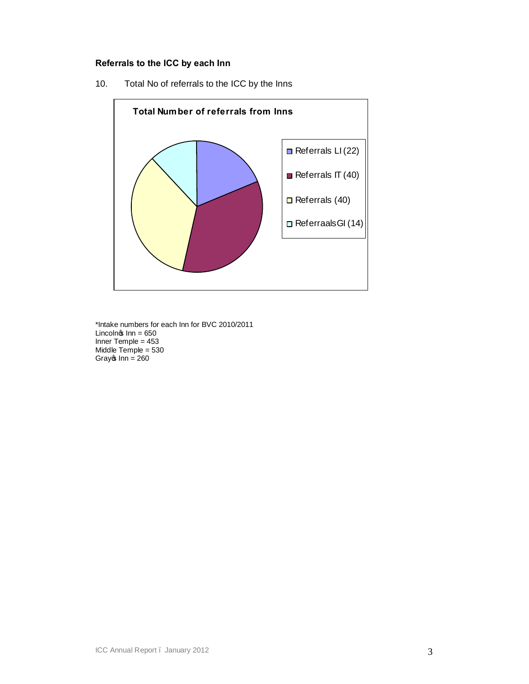## **Referrals to the ICC by each Inn**

10. Total No of referrals to the ICC by the Inns



\*Intake numbers for each Inn for BVC 2010/2011 Lincoln $\circ$  Inn = 650 Inner Temple = 453 Middle Temple = 530 Gray $\circ$  Inn = 260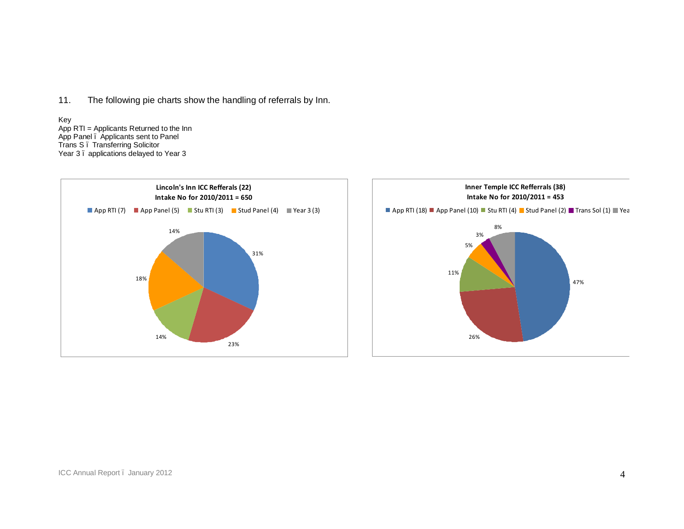11. The following pie charts show the handling of referrals by Inn.

#### Key

App RTI = Applicants Returned to the Inn App Panel – Applicants sent to Panel Trans S – Transferring Solicitor Year 3 . applications delayed to Year 3



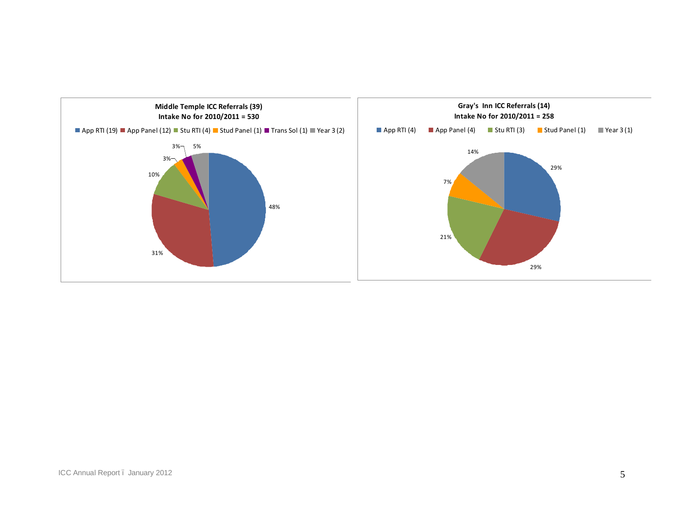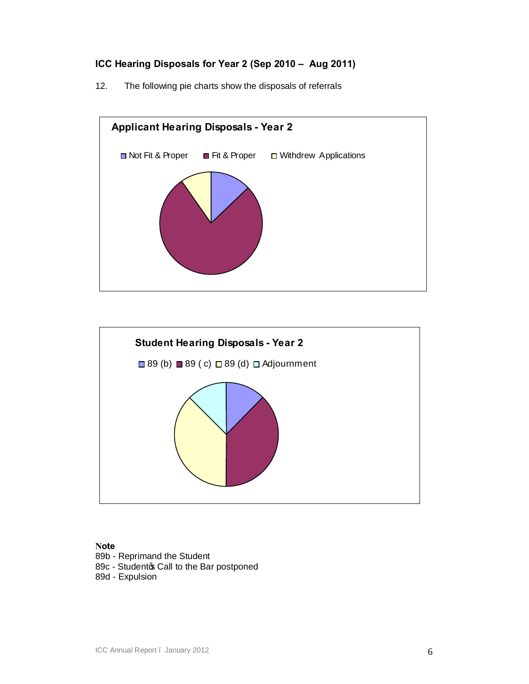## **ICC Hearing Disposals for Year 2 (Sep 2010 – Aug 2011)**

12. The following pie charts show the disposals of referrals





## **Note**

89b - Reprimand the Student 89c - Studentos Call to the Bar postponed 89d - Expulsion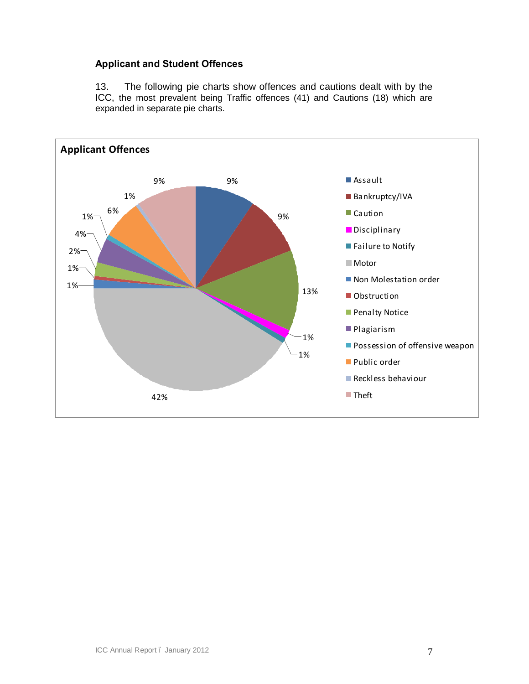## **Applicant and Student Offences**

13. The following pie charts show offences and cautions dealt with by the ICC, the most prevalent being Traffic offences (41) and Cautions (18) which are expanded in separate pie charts.

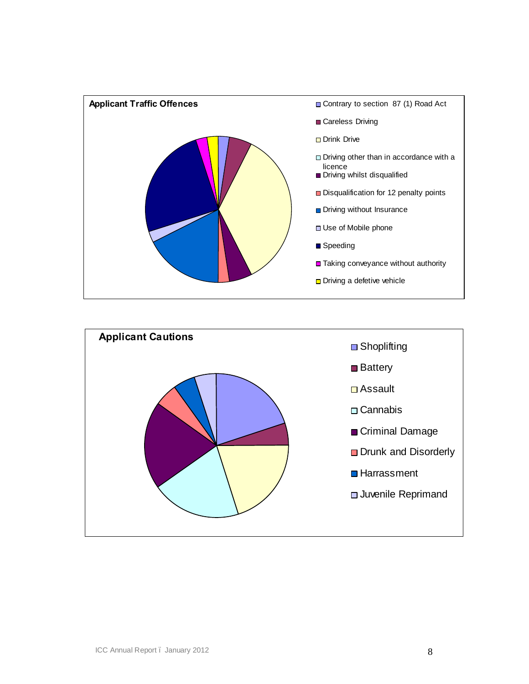

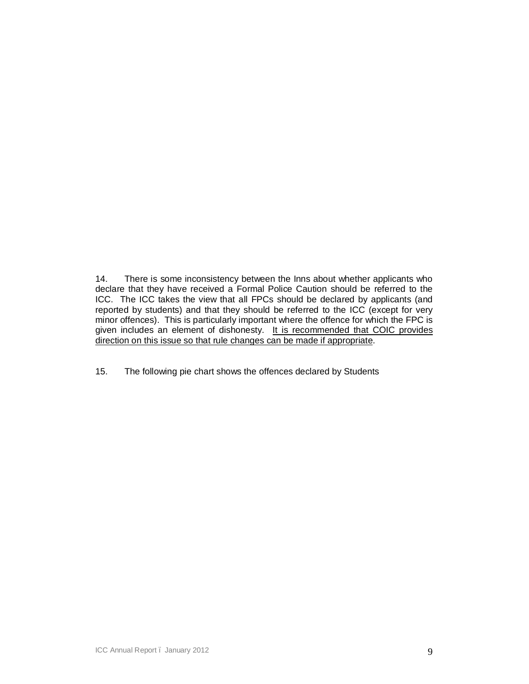14. There is some inconsistency between the Inns about whether applicants who declare that they have received a Formal Police Caution should be referred to the ICC. The ICC takes the view that all FPCs should be declared by applicants (and reported by students) and that they should be referred to the ICC (except for very minor offences). This is particularly important where the offence for which the FPC is given includes an element of dishonesty. It is recommended that COIC provides direction on this issue so that rule changes can be made if appropriate.

15. The following pie chart shows the offences declared by Students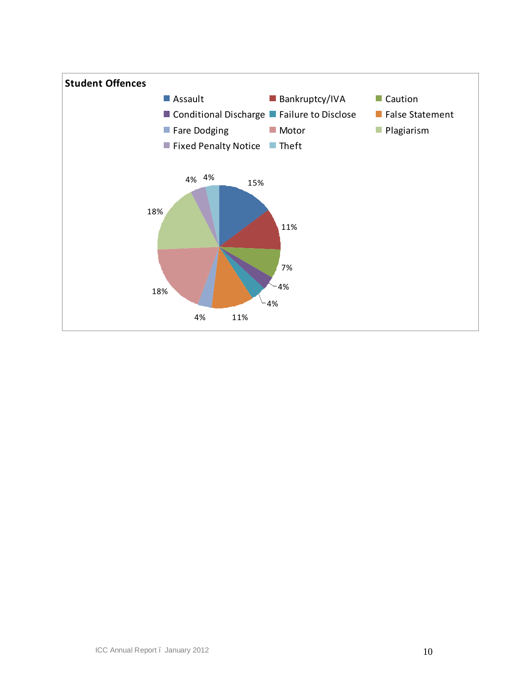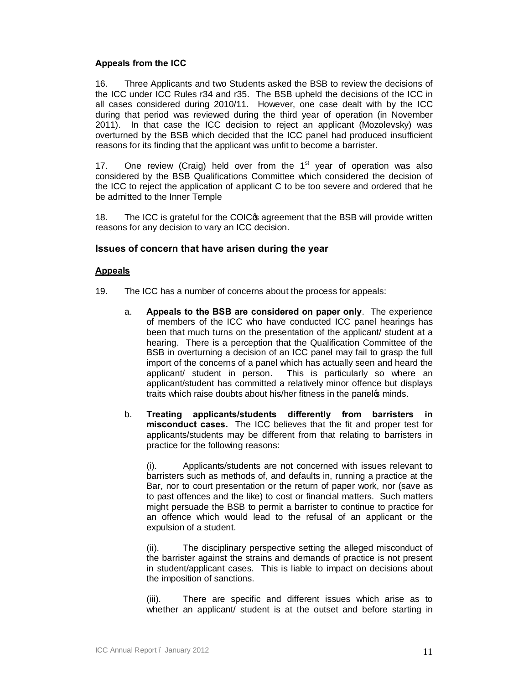## **Appeals from the ICC**

16. Three Applicants and two Students asked the BSB to review the decisions of the ICC under ICC Rules r34 and r35. The BSB upheld the decisions of the ICC in all cases considered during 2010/11. However, one case dealt with by the ICC during that period was reviewed during the third year of operation (in November 2011). In that case the ICC decision to reject an applicant (Mozolevsky) was overturned by the BSB which decided that the ICC panel had produced insufficient reasons for its finding that the applicant was unfit to become a barrister.

17. One review (Craig) held over from the  $1<sup>st</sup>$  year of operation was also considered by the BSB Qualifications Committee which considered the decision of the ICC to reject the application of applicant C to be too severe and ordered that he be admitted to the Inner Temple

18. The ICC is grateful for the COIC<sub>®</sub> agreement that the BSB will provide written reasons for any decision to vary an ICC decision.

## **Issues of concern that have arisen during the year**

## **Appeals**

- 19. The ICC has a number of concerns about the process for appeals:
	- a. **Appeals to the BSB are considered on paper only**. The experience of members of the ICC who have conducted ICC panel hearings has been that much turns on the presentation of the applicant/ student at a hearing. There is a perception that the Qualification Committee of the BSB in overturning a decision of an ICC panel may fail to grasp the full import of the concerns of a panel which has actually seen and heard the applicant/ student in person. This is particularly so where an applicant/student has committed a relatively minor offence but displays traits which raise doubts about his/her fitness in the panelos minds.
	- b. **Treating applicants/students differently from barristers in misconduct cases.** The ICC believes that the fit and proper test for applicants/students may be different from that relating to barristers in practice for the following reasons:

(i). Applicants/students are not concerned with issues relevant to barristers such as methods of, and defaults in, running a practice at the Bar, nor to court presentation or the return of paper work, nor (save as to past offences and the like) to cost or financial matters. Such matters might persuade the BSB to permit a barrister to continue to practice for an offence which would lead to the refusal of an applicant or the expulsion of a student.

(ii). The disciplinary perspective setting the alleged misconduct of the barrister against the strains and demands of practice is not present in student/applicant cases. This is liable to impact on decisions about the imposition of sanctions.

(iii). There are specific and different issues which arise as to whether an applicant/ student is at the outset and before starting in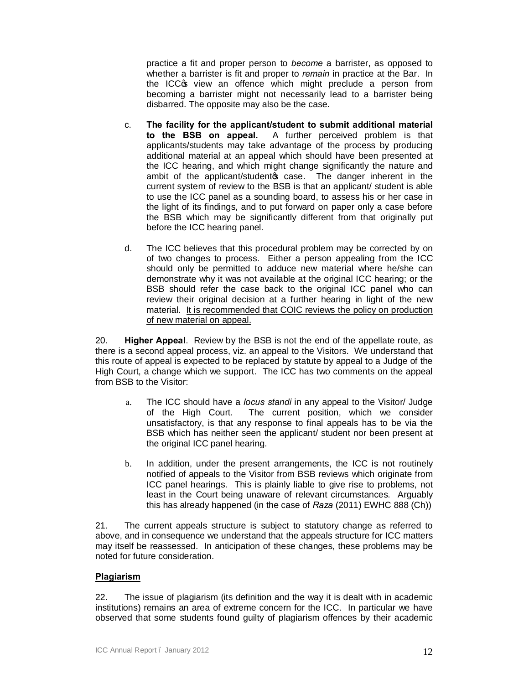practice a fit and proper person to *become* a barrister, as opposed to whether a barrister is fit and proper to *remain* in practice at the Bar. In the ICC<sub>C</sub> view an offence which might preclude a person from becoming a barrister might not necessarily lead to a barrister being disbarred. The opposite may also be the case.

- c. **The facility for the applicant/student to submit additional material to the BSB on appeal.** A further perceived problem is that applicants/students may take advantage of the process by producing additional material at an appeal which should have been presented at the ICC hearing, and which might change significantly the nature and ambit of the applicant/studento case. The danger inherent in the current system of review to the BSB is that an applicant/ student is able to use the ICC panel as a sounding board, to assess his or her case in the light of its findings, and to put forward on paper only a case before the BSB which may be significantly different from that originally put before the ICC hearing panel.
- d. The ICC believes that this procedural problem may be corrected by on of two changes to process. Either a person appealing from the ICC should only be permitted to adduce new material where he/she can demonstrate why it was not available at the original ICC hearing; or the BSB should refer the case back to the original ICC panel who can review their original decision at a further hearing in light of the new material. It is recommended that COIC reviews the policy on production of new material on appeal.

20. **Higher Appeal**. Review by the BSB is not the end of the appellate route, as there is a second appeal process, viz. an appeal to the Visitors. We understand that this route of appeal is expected to be replaced by statute by appeal to a Judge of the High Court, a change which we support. The ICC has two comments on the appeal from BSB to the Visitor:

- a. The ICC should have a *locus standi* in any appeal to the Visitor/ Judge of the High Court. The current position, which we consider unsatisfactory, is that any response to final appeals has to be via the BSB which has neither seen the applicant/ student nor been present at the original ICC panel hearing.
- b. In addition, under the present arrangements, the ICC is not routinely notified of appeals to the Visitor from BSB reviews which originate from ICC panel hearings. This is plainly liable to give rise to problems, not least in the Court being unaware of relevant circumstances. Arguably this has already happened (in the case of *Raza* (2011) EWHC 888 (Ch))

21. The current appeals structure is subject to statutory change as referred to above, and in consequence we understand that the appeals structure for ICC matters may itself be reassessed. In anticipation of these changes, these problems may be noted for future consideration.

## **Plagiarism**

22. The issue of plagiarism (its definition and the way it is dealt with in academic institutions) remains an area of extreme concern for the ICC. In particular we have observed that some students found guilty of plagiarism offences by their academic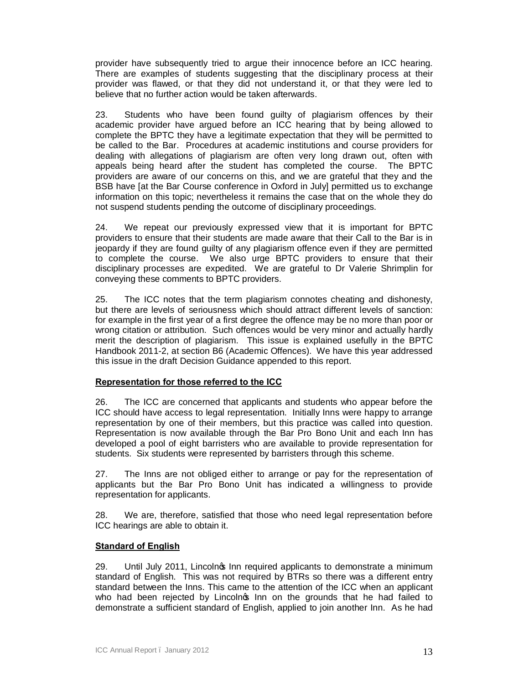provider have subsequently tried to argue their innocence before an ICC hearing. There are examples of students suggesting that the disciplinary process at their provider was flawed, or that they did not understand it, or that they were led to believe that no further action would be taken afterwards.

23. Students who have been found guilty of plagiarism offences by their academic provider have argued before an ICC hearing that by being allowed to complete the BPTC they have a legitimate expectation that they will be permitted to be called to the Bar. Procedures at academic institutions and course providers for dealing with allegations of plagiarism are often very long drawn out, often with appeals being heard after the student has completed the course. The BPTC providers are aware of our concerns on this, and we are grateful that they and the BSB have [at the Bar Course conference in Oxford in July] permitted us to exchange information on this topic; nevertheless it remains the case that on the whole they do not suspend students pending the outcome of disciplinary proceedings.

24. We repeat our previously expressed view that it is important for BPTC providers to ensure that their students are made aware that their Call to the Bar is in jeopardy if they are found guilty of any plagiarism offence even if they are permitted to complete the course. We also urge BPTC providers to ensure that their disciplinary processes are expedited. We are grateful to Dr Valerie Shrimplin for conveying these comments to BPTC providers.

25. The ICC notes that the term plagiarism connotes cheating and dishonesty, but there are levels of seriousness which should attract different levels of sanction: for example in the first year of a first degree the offence may be no more than poor or wrong citation or attribution. Such offences would be very minor and actually hardly merit the description of plagiarism. This issue is explained usefully in the BPTC Handbook 2011-2, at section B6 (Academic Offences). We have this year addressed this issue in the draft Decision Guidance appended to this report.

## **Representation for those referred to the ICC**

26. The ICC are concerned that applicants and students who appear before the ICC should have access to legal representation. Initially Inns were happy to arrange representation by one of their members, but this practice was called into question. Representation is now available through the Bar Pro Bono Unit and each Inn has developed a pool of eight barristers who are available to provide representation for students. Six students were represented by barristers through this scheme.

27. The Inns are not obliged either to arrange or pay for the representation of applicants but the Bar Pro Bono Unit has indicated a willingness to provide representation for applicants.

28. We are, therefore, satisfied that those who need legal representation before ICC hearings are able to obtain it.

## **Standard of English**

29. Until July 2011, Lincolnos Inn required applicants to demonstrate a minimum standard of English. This was not required by BTRs so there was a different entry standard between the Inns. This came to the attention of the ICC when an applicant who had been rejected by Lincolnos Inn on the grounds that he had failed to demonstrate a sufficient standard of English, applied to join another Inn. As he had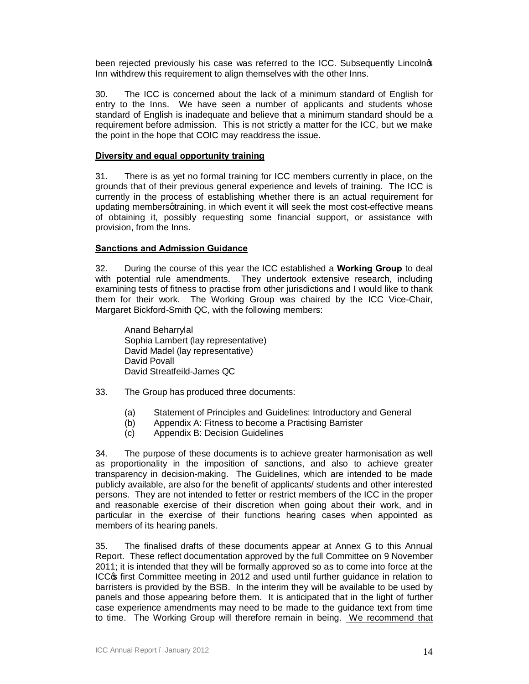been rejected previously his case was referred to the ICC. Subsequently Lincolnos Inn withdrew this requirement to align themselves with the other Inns.

30. The ICC is concerned about the lack of a minimum standard of English for entry to the Inns. We have seen a number of applicants and students whose standard of English is inadequate and believe that a minimum standard should be a requirement before admission. This is not strictly a matter for the ICC, but we make the point in the hope that COIC may readdress the issue.

## **Diversity and equal opportunity training**

31. There is as yet no formal training for ICC members currently in place, on the grounds that of their previous general experience and levels of training. The ICC is currently in the process of establishing whether there is an actual requirement for updating members gtraining, in which event it will seek the most cost-effective means of obtaining it, possibly requesting some financial support, or assistance with provision, from the Inns.

## **Sanctions and Admission Guidance**

32. During the course of this year the ICC established a **Working Group** to deal with potential rule amendments. They undertook extensive research, including examining tests of fitness to practise from other jurisdictions and I would like to thank them for their work. The Working Group was chaired by the ICC Vice-Chair, Margaret Bickford-Smith QC, with the following members:

Anand Beharrylal Sophia Lambert (lay representative) David Madel (lay representative) David Povall David Streatfeild-James QC

- 33. The Group has produced three documents:
	- (a) Statement of Principles and Guidelines: Introductory and General
	- (b) Appendix A: Fitness to become a Practising Barrister
	- (c) Appendix B: Decision Guidelines

34. The purpose of these documents is to achieve greater harmonisation as well as proportionality in the imposition of sanctions, and also to achieve greater transparency in decision-making. The Guidelines, which are intended to be made publicly available, are also for the benefit of applicants/ students and other interested persons. They are not intended to fetter or restrict members of the ICC in the proper and reasonable exercise of their discretion when going about their work, and in particular in the exercise of their functions hearing cases when appointed as members of its hearing panels.

35. The finalised drafts of these documents appear at Annex G to this Annual Report. These reflect documentation approved by the full Committee on 9 November 2011; it is intended that they will be formally approved so as to come into force at the ICC<sub>C</sub> first Committee meeting in 2012 and used until further guidance in relation to barristers is provided by the BSB. In the interim they will be available to be used by panels and those appearing before them. It is anticipated that in the light of further case experience amendments may need to be made to the guidance text from time to time. The Working Group will therefore remain in being. We recommend that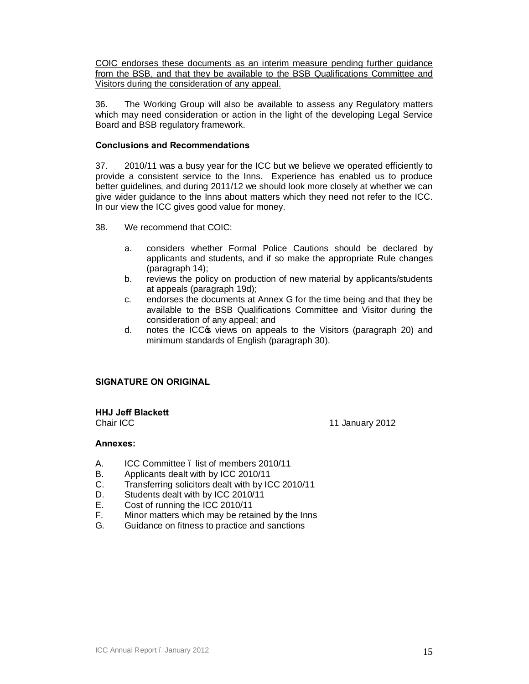COIC endorses these documents as an interim measure pending further guidance from the BSB, and that they be available to the BSB Qualifications Committee and Visitors during the consideration of any appeal.

36. The Working Group will also be available to assess any Regulatory matters which may need consideration or action in the light of the developing Legal Service Board and BSB regulatory framework.

## **Conclusions and Recommendations**

37. 2010/11 was a busy year for the ICC but we believe we operated efficiently to provide a consistent service to the Inns. Experience has enabled us to produce better guidelines, and during 2011/12 we should look more closely at whether we can give wider guidance to the Inns about matters which they need not refer to the ICC. In our view the ICC gives good value for money.

38. We recommend that COIC:

- a. considers whether Formal Police Cautions should be declared by applicants and students, and if so make the appropriate Rule changes (paragraph 14);
- b. reviews the policy on production of new material by applicants/students at appeals (paragraph 19d);
- c. endorses the documents at Annex G for the time being and that they be available to the BSB Qualifications Committee and Visitor during the consideration of any appeal; and
- d. notes the ICC $\circ$  views on appeals to the Visitors (paragraph 20) and minimum standards of English (paragraph 30).

## **SIGNATURE ON ORIGINAL**

**HHJ Jeff Blackett**

Chair ICC 11 January 2012

#### **Annexes:**

- A. ICC Committee list of members 2010/11
- B. Applicants dealt with by ICC 2010/11
- C. Transferring solicitors dealt with by ICC 2010/11
- D. Students dealt with by ICC 2010/11
- E. Cost of running the ICC 2010/11
- F. Minor matters which may be retained by the Inns
- G. Guidance on fitness to practice and sanctions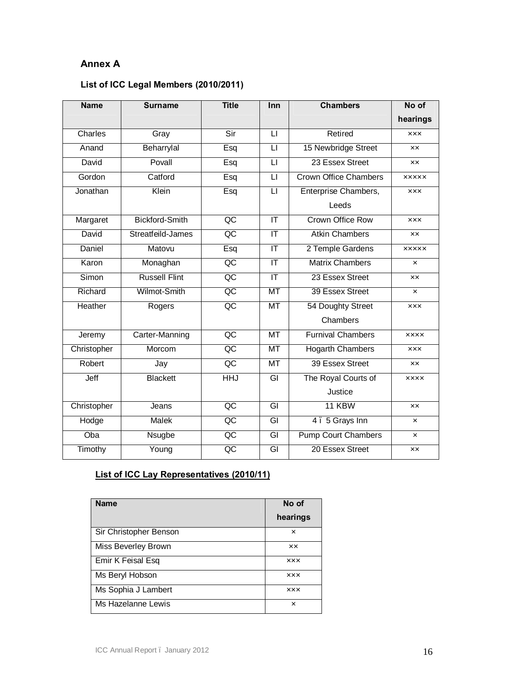## **Annex A**

## **List of ICC Legal Members (2010/2011)**

| <b>Name</b> | <b>Surname</b>        | <b>Title</b>        | Inn                               | <b>Chambers</b>              | No of         |
|-------------|-----------------------|---------------------|-----------------------------------|------------------------------|---------------|
|             |                       |                     |                                   |                              | hearings      |
| Charles     | Gray                  | Sir                 | $\mathsf{L}$                      | Retired                      | <b>xxx</b>    |
| Anand       | Beharrylal            | Esq                 | $\mathsf{L}$                      | 15 Newbridge Street          | <b>xx</b>     |
| David       | Povall                | $\mathsf{L}$<br>Esq |                                   | 23 Essex Street              | XX.           |
| Gordon      | Catford               | Esq                 | $\overline{\mathsf{L}}$           | <b>Crown Office Chambers</b> | <b>XXXXX</b>  |
| Jonathan    | Klein                 | Esq                 | $\overline{\mathsf{L}}$           | Enterprise Chambers,         | <b>XXX</b>    |
|             |                       |                     |                                   | Leeds                        |               |
| Margaret    | <b>Bickford-Smith</b> | $\overline{QC}$     | IT                                | Crown Office Row             | <b>XXX</b>    |
| David       | Streatfeild-James     | $\overline{AC}$     | $\overline{\mathsf{I}\mathsf{T}}$ | <b>Atkin Chambers</b>        | XX.           |
| Daniel      | Matovu                | Esq                 | $\overline{\mathsf{I}\mathsf{T}}$ | 2 Temple Gardens             | <b>XXXXX</b>  |
| Karon       | Monaghan              | $\overline{QC}$     | $\overline{\mathsf{I}\mathsf{T}}$ | <b>Matrix Chambers</b>       | ×             |
| Simon       | <b>Russell Flint</b>  | $\overline{OC}$     | $\overline{\mathsf{I}\mathsf{T}}$ | 23 Essex Street              | <b>XX</b>     |
| Richard     | Wilmot-Smith          | $\overline{AC}$     | MT                                | 39 Essex Street              | ×             |
| Heather     | Rogers                | $\overline{OC}$     | <b>MT</b>                         | 54 Doughty Street            | <b>XXX</b>    |
|             |                       |                     |                                   | Chambers                     |               |
| Jeremy      | Carter-Manning        | $\overline{AC}$     | <b>MT</b>                         | <b>Furnival Chambers</b>     | <b>XXXX</b>   |
| Christopher | Morcom                | $\overline{QC}$     | $\overline{MT}$                   | <b>Hogarth Chambers</b>      | <b>XXX</b>    |
| Robert      | Jay                   | $\overline{AC}$     | <b>MT</b>                         | 39 Essex Street              | <b>XX</b>     |
| Jeff        | <b>Blackett</b>       | <b>HHJ</b>          | $\overline{\mathsf{G}}$           | The Royal Courts of          | <b>XXXX</b>   |
|             |                       |                     |                                   | Justice                      |               |
| Christopher | Jeans                 | $\overline{OC}$     | GI                                | 11 KBW                       | XX            |
| Hodge       | <b>Malek</b>          | $\overline{AC}$     | $\overline{G}$<br>4. 5 Grays Inn  |                              | ×             |
| Oba         | Nsugbe                | $\overline{QC}$     | <b>Pump Court Chambers</b>        |                              | ×             |
| Timothy     | Young                 | $\overline{AC}$     | GI                                | 20 Essex Street              | $\mathsf{xx}$ |

## **List of ICC Lay Representatives (2010/11)**

| <b>Name</b>            | No of<br>hearings |
|------------------------|-------------------|
|                        |                   |
| Sir Christopher Benson | ×                 |
| Miss Beverley Brown    | ×х                |
| Emir K Feisal Esq      | <b>XXX</b>        |
| Ms Beryl Hobson        | xxx               |
| Ms Sophia J Lambert    | <b>XXX</b>        |
| Ms Hazelanne Lewis     | ×                 |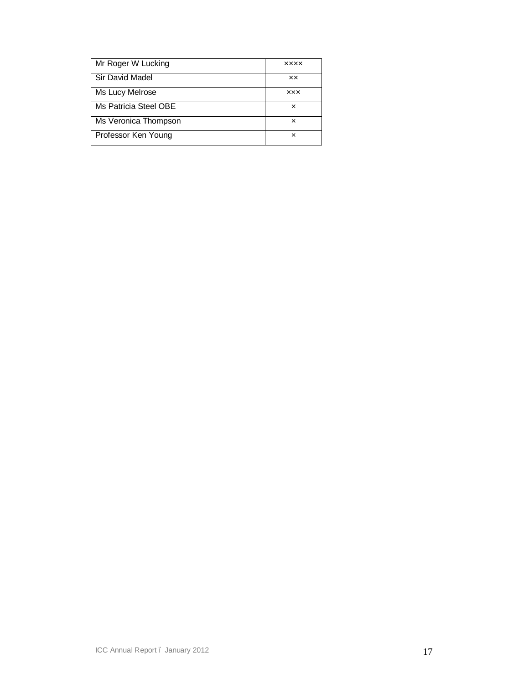| Mr Roger W Lucking    | <b>XXXX</b> |
|-----------------------|-------------|
| Sir David Madel       | xx          |
| Ms Lucy Melrose       | <b>XXX</b>  |
| Ms Patricia Steel OBE | ×           |
| Ms Veronica Thompson  | ×           |
| Professor Ken Young   | ×           |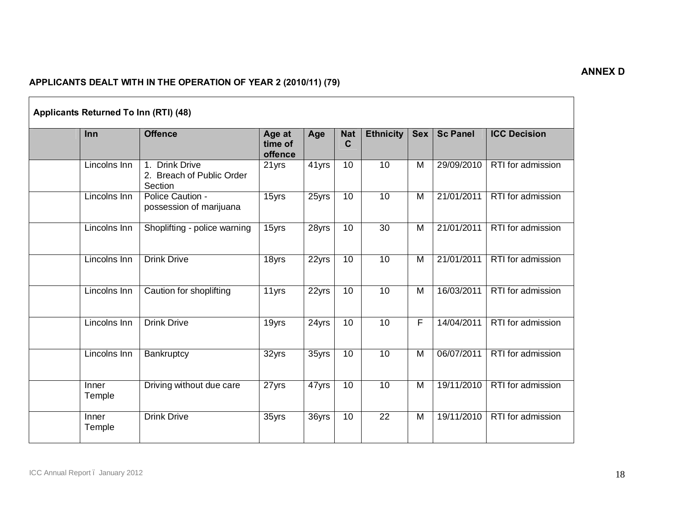## **ANNEX D**

## **APPLICANTS DEALT WITH IN THE OPERATION OF YEAR 2 (2010/11) (79)**

| <b>Inn</b>      | <b>Offence</b>                                                               | Age at<br>time of<br>offence | Age   | <b>Nat</b><br>$\mathbf C$ | <b>Ethnicity</b> | <b>Sex</b>     | <b>Sc Panel</b> | <b>ICC Decision</b> |
|-----------------|------------------------------------------------------------------------------|------------------------------|-------|---------------------------|------------------|----------------|-----------------|---------------------|
| Lincolns Inn    | <b>Drink Drive</b><br>$\mathbf{1}$ .<br>2. Breach of Public Order<br>Section | 21 yrs                       | 41yrs | 10                        | 10               | M              | 29/09/2010      | RTI for admission   |
| Lincolns Inn    | Police Caution -<br>possession of marijuana                                  | 15yrs                        | 25yrs | 10                        | 10               | M              | 21/01/2011      | RTI for admission   |
| Lincolns Inn    | Shoplifting - police warning                                                 | 15yrs                        | 28yrs | 10                        | 30               | M              | 21/01/2011      | RTI for admission   |
| Lincolns Inn    | <b>Drink Drive</b>                                                           | 18yrs                        | 22yrs | 10                        | $\overline{10}$  | M              | 21/01/2011      | RTI for admission   |
| Lincolns Inn    | Caution for shoplifting                                                      | 11yrs                        | 22yrs | 10                        | 10               | $\overline{M}$ | 16/03/2011      | RTI for admission   |
| Lincolns Inn    | <b>Drink Drive</b>                                                           | 19yrs                        | 24yrs | 10                        | 10               | F              | 14/04/2011      | RTI for admission   |
| Lincolns Inn    | Bankruptcy                                                                   | 32yrs                        | 35yrs | 10                        | 10               | M              | 06/07/2011      | RTI for admission   |
| Inner<br>Temple | Driving without due care                                                     | 27yrs                        | 47yrs | 10                        | 10               | $\overline{M}$ | 19/11/2010      | RTI for admission   |
| Inner<br>Temple | <b>Drink Drive</b>                                                           | 35yrs                        | 36yrs | 10                        | 22               | M              | 19/11/2010      | RTI for admission   |

# **Applicants Returned To Inn (RTI) (48)**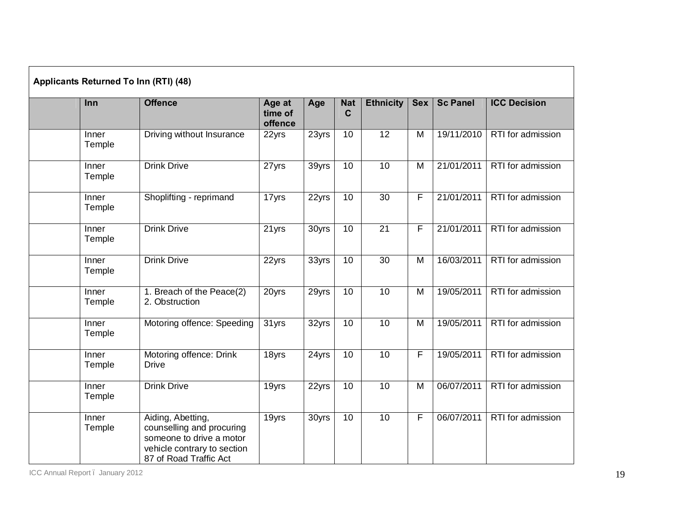| Applicants Returned To Inn (RTI) (48) |                                                                                                                                     |                              |                     |                           |                  |            |                 |                     |  |  |  |
|---------------------------------------|-------------------------------------------------------------------------------------------------------------------------------------|------------------------------|---------------------|---------------------------|------------------|------------|-----------------|---------------------|--|--|--|
| Inn                                   | <b>Offence</b>                                                                                                                      | Age at<br>time of<br>offence | Age                 | <b>Nat</b><br>$\mathbf C$ | <b>Ethnicity</b> | <b>Sex</b> | <b>Sc Panel</b> | <b>ICC Decision</b> |  |  |  |
| Inner<br>Temple                       | Driving without Insurance                                                                                                           | 22yrs                        | 23yrs               | 10                        | $\overline{12}$  | M          | 19/11/2010      | RTI for admission   |  |  |  |
| Inner<br>Temple                       | <b>Drink Drive</b>                                                                                                                  | 27yrs                        | 39yrs               | 10                        | 10               | M          | 21/01/2011      | RTI for admission   |  |  |  |
| Inner<br>Temple                       | Shoplifting - reprimand                                                                                                             | 17yrs                        | 22yrs               | 10                        | 30               | F          | 21/01/2011      | RTI for admission   |  |  |  |
| Inner<br>Temple                       | <b>Drink Drive</b>                                                                                                                  | 21yrs                        | $\overline{30}$ yrs | 10                        | $\overline{21}$  | F          | 21/01/2011      | RTI for admission   |  |  |  |
| Inner<br>Temple                       | <b>Drink Drive</b>                                                                                                                  | 22yrs                        | 33yrs               | 10                        | 30               | M          | 16/03/2011      | RTI for admission   |  |  |  |
| Inner<br>Temple                       | 1. Breach of the Peace(2)<br>2. Obstruction                                                                                         | 20yrs                        | 29yrs               | 10                        | 10               | M          | 19/05/2011      | RTI for admission   |  |  |  |
| Inner<br>Temple                       | Motoring offence: Speeding                                                                                                          | 31yrs                        | 32yrs               | 10                        | 10               | M          | 19/05/2011      | RTI for admission   |  |  |  |
| Inner<br>Temple                       | Motoring offence: Drink<br><b>Drive</b>                                                                                             | 18yrs                        | 24yrs               | 10                        | 10               | F          | 19/05/2011      | RTI for admission   |  |  |  |
| Inner<br>Temple                       | <b>Drink Drive</b>                                                                                                                  | 19yrs                        | 22yrs               | 10                        | 10               | M          | 06/07/2011      | RTI for admission   |  |  |  |
| Inner<br>Temple                       | Aiding, Abetting,<br>counselling and procuring<br>someone to drive a motor<br>vehicle contrary to section<br>87 of Road Traffic Act | 19yrs                        | 30yrs               | 10                        | $\overline{10}$  | F          | 06/07/2011      | RTI for admission   |  |  |  |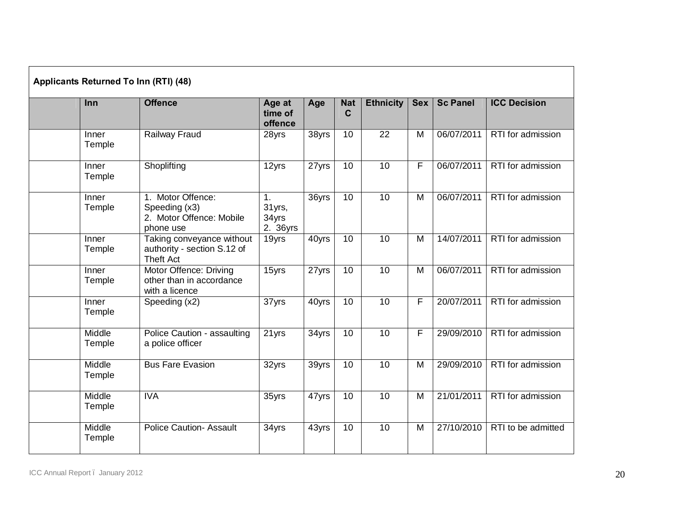| Inn              | <b>Offence</b>                                                               | Age at             | Age                 | <b>Nat</b>      | <b>Ethnicity</b> | <b>Sex</b>     | <b>Sc Panel</b> | <b>ICC Decision</b> |
|------------------|------------------------------------------------------------------------------|--------------------|---------------------|-----------------|------------------|----------------|-----------------|---------------------|
|                  |                                                                              | time of<br>offence |                     | $\mathbf C$     |                  |                |                 |                     |
| Inner<br>Temple  | <b>Railway Fraud</b>                                                         | 28yrs              | 38yrs               | 10              | $\overline{22}$  | M              | 06/07/2011      | RTI for admission   |
| Inner<br>Temple  | Shoplifting                                                                  | 12yrs              | 27yrs               | 10              | 10               | F              | 06/07/2011      | RTI for admission   |
| Inner<br>Temple  | 1. Motor Offence:<br>Speeding (x3)<br>2. Motor Offence: Mobile<br>phone use  |                    | $\overline{36}$ yrs | 10              | 10               | $\overline{M}$ | 06/07/2011      | RTI for admission   |
| Inner<br>Temple  | Taking conveyance without<br>authority - section S.12 of<br><b>Theft Act</b> | 19yrs              | 40yrs               | $\overline{10}$ | $\overline{10}$  | M              | 14/07/2011      | RTI for admission   |
| Inner<br>Temple  | <b>Motor Offence: Driving</b><br>other than in accordance<br>with a licence  | 15yrs              | 27yrs               | $\overline{10}$ | $\overline{10}$  | $\overline{M}$ | 06/07/2011      | RTI for admission   |
| Inner<br>Temple  | Speeding (x2)                                                                | 37yrs              | 40yrs               | $\overline{10}$ | 10               | F              | 20/07/2011      | RTI for admission   |
| Middle<br>Temple | Police Caution - assaulting<br>a police officer                              | 21yrs              | 34yrs               | 10              | 10               | F              | 29/09/2010      | RTI for admission   |
| Middle<br>Temple | <b>Bus Fare Evasion</b>                                                      | 32yrs              | 39yrs               | $\overline{10}$ | $\overline{10}$  | M              | 29/09/2010      | RTI for admission   |
| Middle<br>Temple | <b>IVA</b>                                                                   | 35yrs              | 47yrs               | 10              | $\overline{10}$  | M              | 21/01/2011      | RTI for admission   |
| Middle<br>Temple | <b>Police Caution- Assault</b>                                               | 34yrs              | 43yrs               | 10              | $\overline{10}$  | M              | 27/10/2010      | RTI to be admitted  |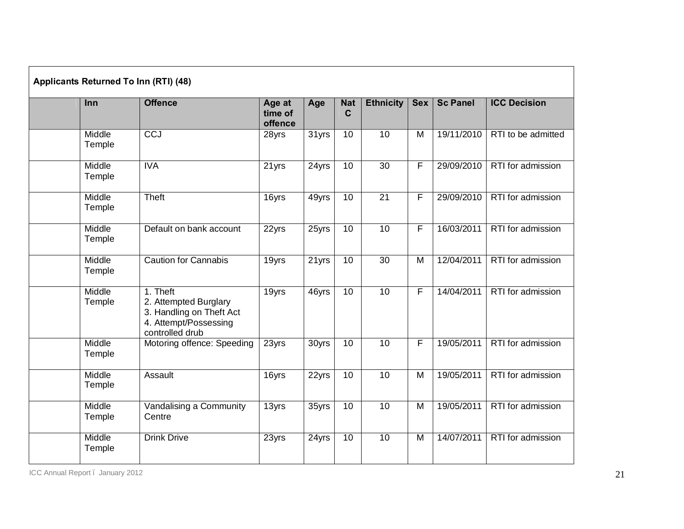| Applicants Returned To Inn (RTI) (48) |                  |                                                                                                           |                              |                     |                           |                  |                |                 |                     |  |  |
|---------------------------------------|------------------|-----------------------------------------------------------------------------------------------------------|------------------------------|---------------------|---------------------------|------------------|----------------|-----------------|---------------------|--|--|
|                                       | Inn              | <b>Offence</b>                                                                                            | Age at<br>time of<br>offence | Age                 | <b>Nat</b><br>$\mathbf C$ | <b>Ethnicity</b> | <b>Sex</b>     | <b>Sc Panel</b> | <b>ICC Decision</b> |  |  |
|                                       | Middle<br>Temple | <b>CCJ</b>                                                                                                | 28yrs                        | $\overline{31}$ yrs | 10                        | $\overline{10}$  | M              | 19/11/2010      | RTI to be admitted  |  |  |
|                                       | Middle<br>Temple | <b>IVA</b>                                                                                                | 21 yrs                       | 24yrs               | 10                        | 30               | $\overline{F}$ | 29/09/2010      | RTI for admission   |  |  |
|                                       | Middle<br>Temple | Theft                                                                                                     | 16yrs                        | 49yrs               | 10                        | $\overline{21}$  | F              | 29/09/2010      | RTI for admission   |  |  |
|                                       | Middle<br>Temple | Default on bank account                                                                                   | 22yrs                        | 25yrs               | 10                        | 10               | F              | 16/03/2011      | RTI for admission   |  |  |
|                                       | Middle<br>Temple | <b>Caution for Cannabis</b>                                                                               | 19yrs                        | 21yrs               | 10                        | 30               | M              | 12/04/2011      | RTI for admission   |  |  |
|                                       | Middle<br>Temple | 1. Theft<br>2. Attempted Burglary<br>3. Handling on Theft Act<br>4. Attempt/Possessing<br>controlled drub | 19yrs                        | $\overline{4}$ 6yrs | 10                        | 10               | F              | 14/04/2011      | RTI for admission   |  |  |
|                                       | Middle<br>Temple | Motoring offence: Speeding                                                                                | 23yrs                        | 30yrs               | 10                        | 10               | F              | 19/05/2011      | RTI for admission   |  |  |
|                                       | Middle<br>Temple | Assault                                                                                                   | 16yrs                        | $\overline{22}$ yrs | 10                        | 10               | $\overline{M}$ | 19/05/2011      | RTI for admission   |  |  |
|                                       | Middle<br>Temple | Vandalising a Community<br>Centre                                                                         | 13yrs                        | 35yrs               | 10                        | 10               | M              | 19/05/2011      | RTI for admission   |  |  |
|                                       | Middle<br>Temple | <b>Drink Drive</b>                                                                                        | 23yrs                        | 24yrs               | 10                        | 10               | $\overline{M}$ | 14/07/2011      | RTI for admission   |  |  |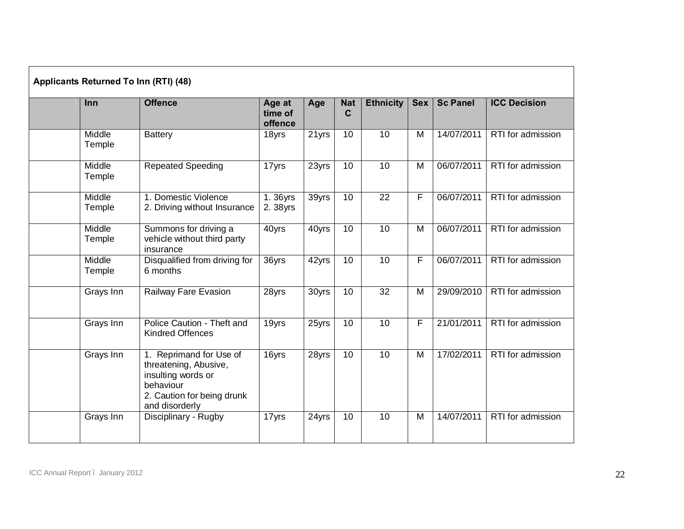| Applicants Returned To Inn (RTI) (48) |                                                                                                                                     |                              |                      |                           |                  |            |                 |                     |  |  |  |
|---------------------------------------|-------------------------------------------------------------------------------------------------------------------------------------|------------------------------|----------------------|---------------------------|------------------|------------|-----------------|---------------------|--|--|--|
| Inn                                   | <b>Offence</b>                                                                                                                      | Age at<br>time of<br>offence | Age                  | <b>Nat</b><br>$\mathbf C$ | <b>Ethnicity</b> | <b>Sex</b> | <b>Sc Panel</b> | <b>ICC Decision</b> |  |  |  |
| Middle<br>Temple                      | <b>Battery</b>                                                                                                                      | 18yrs                        | $\overline{2}$ 1 yrs | 10                        | 10               | M          | 14/07/2011      | RTI for admission   |  |  |  |
| Middle<br>Temple                      | <b>Repeated Speeding</b>                                                                                                            | 17yrs                        | 23yrs                | 10                        | 10               | M          | 06/07/2011      | RTI for admission   |  |  |  |
| Middle<br>Temple                      | 1. Domestic Violence<br>2. Driving without Insurance                                                                                | 1.36yrs<br>2.38yrs           | 39yrs                | $\overline{10}$           | 22               | F          | 06/07/2011      | RTI for admission   |  |  |  |
| Middle<br>Temple                      | Summons for driving a<br>vehicle without third party<br>insurance                                                                   | $\overline{4}0$ yrs          | 40yrs                | 10                        | 10               | M          | 06/07/2011      | RTI for admission   |  |  |  |
| Middle<br>Temple                      | Disqualified from driving for<br>6 months                                                                                           | 36yrs                        | 42yrs                | 10                        | 10               | F          | 06/07/2011      | RTI for admission   |  |  |  |
| Grays Inn                             | Railway Fare Evasion                                                                                                                | 28yrs                        | 30yrs                | 10                        | $\overline{32}$  | M          | 29/09/2010      | RTI for admission   |  |  |  |
| Grays Inn                             | Police Caution - Theft and<br><b>Kindred Offences</b>                                                                               | 19yrs                        | 25yrs                | 10                        | $\overline{10}$  | F.         | 21/01/2011      | RTI for admission   |  |  |  |
| Grays Inn                             | 1. Reprimand for Use of<br>threatening, Abusive,<br>insulting words or<br>behaviour<br>2. Caution for being drunk<br>and disorderly | 16yrs                        | 28yrs                | 10                        | 10               | M          | 17/02/2011      | RTI for admission   |  |  |  |
| Grays Inn                             | Disciplinary - Rugby                                                                                                                | 17yrs                        | 24yrs                | 10                        | 10               | M          | 14/07/2011      | RTI for admission   |  |  |  |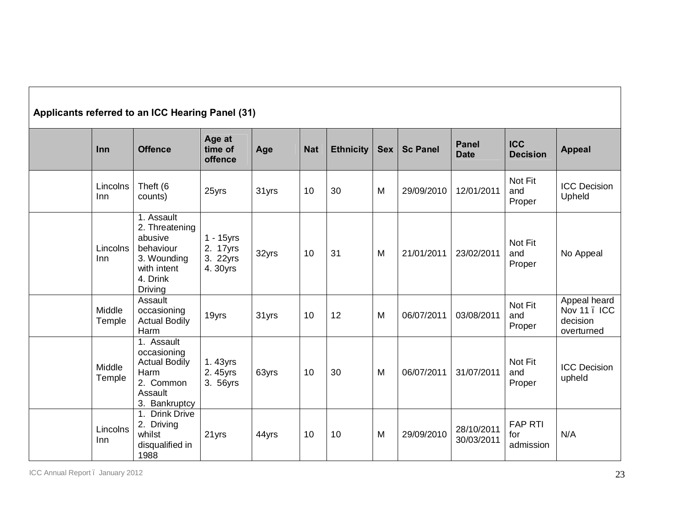| Applicants referred to an ICC Hearing Panel (31) |                  |                                                                                                                  |                                              |       |            |                  |            |                 |                             |                                    |                                                        |
|--------------------------------------------------|------------------|------------------------------------------------------------------------------------------------------------------|----------------------------------------------|-------|------------|------------------|------------|-----------------|-----------------------------|------------------------------------|--------------------------------------------------------|
|                                                  | Inn              | <b>Offence</b>                                                                                                   | Age at<br>time of<br>offence                 | Age   | <b>Nat</b> | <b>Ethnicity</b> | <b>Sex</b> | <b>Sc Panel</b> | <b>Panel</b><br><b>Date</b> | <b>ICC</b><br><b>Decision</b>      | <b>Appeal</b>                                          |
|                                                  | Lincolns<br>Inn  | Theft (6<br>counts)                                                                                              | 25yrs                                        | 31yrs | 10         | 30               | M          | 29/09/2010      | 12/01/2011                  | Not Fit<br>and<br>Proper           | <b>ICC Decision</b><br>Upheld                          |
|                                                  | Lincolns<br>Inn  | 1. Assault<br>2. Threatening<br>abusive<br>behaviour<br>3. Wounding<br>with intent<br>4. Drink<br><b>Driving</b> | 1 - 15yrs<br>2. 17yrs<br>3. 22yrs<br>4.30yrs | 32yrs | 10         | 31               | M          | 21/01/2011      | 23/02/2011                  | Not Fit<br>and<br>Proper           | No Appeal                                              |
|                                                  | Middle<br>Temple | Assault<br>occasioning<br><b>Actual Bodily</b><br>Harm                                                           | 19yrs                                        | 31yrs | 10         | 12               | M          | 06/07/2011      | 03/08/2011                  | Not Fit<br>and<br>Proper           | Appeal heard<br>Nov 11 . ICC<br>decision<br>overturned |
|                                                  | Middle<br>Temple | 1. Assault<br>occasioning<br><b>Actual Bodily</b><br>Harm<br>2. Common<br>Assault<br>3. Bankruptcy               | 1.43yrs<br>2.45yrs<br>3. 56yrs               | 63yrs | 10         | 30               | M          | 06/07/2011      | 31/07/2011                  | Not Fit<br>and<br>Proper           | <b>ICC Decision</b><br>upheld                          |
|                                                  | Lincolns<br>Inn  | 1. Drink Drive<br>2. Driving<br>whilst<br>disqualified in<br>1988                                                | 21yrs                                        | 44yrs | 10         | 10               | M          | 29/09/2010      | 28/10/2011<br>30/03/2011    | <b>FAP RTI</b><br>for<br>admission | N/A                                                    |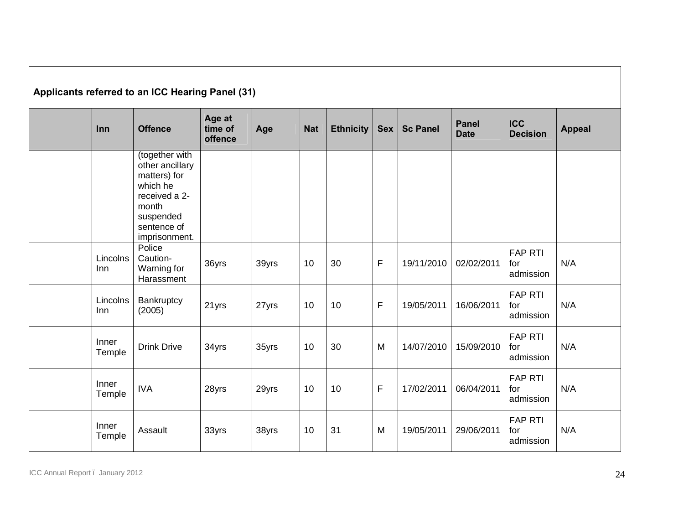| Applicants referred to an ICC Hearing Panel (31) |                 |                                                                                                                                      |                              |       |            |                  |             |                 |                             |                                    |               |
|--------------------------------------------------|-----------------|--------------------------------------------------------------------------------------------------------------------------------------|------------------------------|-------|------------|------------------|-------------|-----------------|-----------------------------|------------------------------------|---------------|
|                                                  | Inn             | <b>Offence</b>                                                                                                                       | Age at<br>time of<br>offence | Age   | <b>Nat</b> | <b>Ethnicity</b> | <b>Sex</b>  | <b>Sc Panel</b> | <b>Panel</b><br><b>Date</b> | <b>ICC</b><br><b>Decision</b>      | <b>Appeal</b> |
|                                                  |                 | (together with<br>other ancillary<br>matters) for<br>which he<br>received a 2-<br>month<br>suspended<br>sentence of<br>imprisonment. |                              |       |            |                  |             |                 |                             |                                    |               |
|                                                  | Lincolns<br>Inn | Police<br>Caution-<br>Warning for<br>Harassment                                                                                      | 36yrs                        | 39yrs | 10         | 30               | $\mathsf F$ | 19/11/2010      | 02/02/2011                  | <b>FAP RTI</b><br>for<br>admission | N/A           |
|                                                  | Lincolns<br>Inn | Bankruptcy<br>(2005)                                                                                                                 | 21yrs                        | 27yrs | 10         | 10               | $\mathsf F$ | 19/05/2011      | 16/06/2011                  | <b>FAP RTI</b><br>for<br>admission | N/A           |
|                                                  | Inner<br>Temple | <b>Drink Drive</b>                                                                                                                   | 34yrs                        | 35yrs | 10         | 30               | M           | 14/07/2010      | 15/09/2010                  | <b>FAP RTI</b><br>for<br>admission | N/A           |
|                                                  | Inner<br>Temple | <b>IVA</b>                                                                                                                           | 28yrs                        | 29yrs | 10         | 10               | $\mathsf F$ | 17/02/2011      | 06/04/2011                  | <b>FAP RTI</b><br>for<br>admission | N/A           |
|                                                  | Inner<br>Temple | Assault                                                                                                                              | 33yrs                        | 38yrs | 10         | 31               | M           | 19/05/2011      | 29/06/2011                  | <b>FAP RTI</b><br>for<br>admission | N/A           |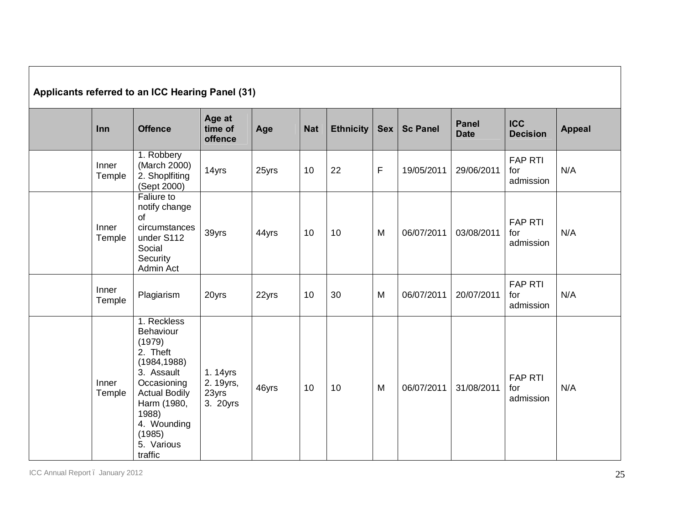| Applicants referred to an ICC Hearing Panel (31) |                                                                                                                                                                                               |                                           |       |            |                  |            |                 |                             |                                    |               |  |
|--------------------------------------------------|-----------------------------------------------------------------------------------------------------------------------------------------------------------------------------------------------|-------------------------------------------|-------|------------|------------------|------------|-----------------|-----------------------------|------------------------------------|---------------|--|
| Inn                                              | <b>Offence</b>                                                                                                                                                                                | Age at<br>time of<br>offence              | Age   | <b>Nat</b> | <b>Ethnicity</b> | <b>Sex</b> | <b>Sc Panel</b> | <b>Panel</b><br><b>Date</b> | <b>ICC</b><br><b>Decision</b>      | <b>Appeal</b> |  |
| Inner<br>Temple                                  | 1. Robbery<br>(March 2000)<br>2. Shoplfiting<br>(Sept 2000)                                                                                                                                   | 14yrs                                     | 25yrs | 10         | 22               | F          | 19/05/2011      | 29/06/2011                  | <b>FAP RTI</b><br>for<br>admission | N/A           |  |
| Inner<br>Temple                                  | <b>Faliure to</b><br>notify change<br>of<br>circumstances<br>under S112<br>Social<br>Security<br>Admin Act                                                                                    | 39yrs                                     | 44yrs | 10         | 10               | M          | 06/07/2011      | 03/08/2011                  | <b>FAP RTI</b><br>for<br>admission | N/A           |  |
| Inner<br>Temple                                  | Plagiarism                                                                                                                                                                                    | 20yrs                                     | 22yrs | 10         | 30               | M          | 06/07/2011      | 20/07/2011                  | <b>FAP RTI</b><br>for<br>admission | N/A           |  |
| Inner<br>Temple                                  | 1. Reckless<br>Behaviour<br>(1979)<br>2. Theft<br>(1984, 1988)<br>3. Assault<br>Occasioning<br><b>Actual Bodily</b><br>Harm (1980,<br>1988)<br>4. Wounding<br>(1985)<br>5. Various<br>traffic | 1.14yrs<br>2. 19yrs,<br>23yrs<br>3. 20yrs | 46yrs | 10         | 10               | M          | 06/07/2011      | 31/08/2011                  | <b>FAP RTI</b><br>for<br>admission | N/A           |  |

ICC Annual Report – January 2012 25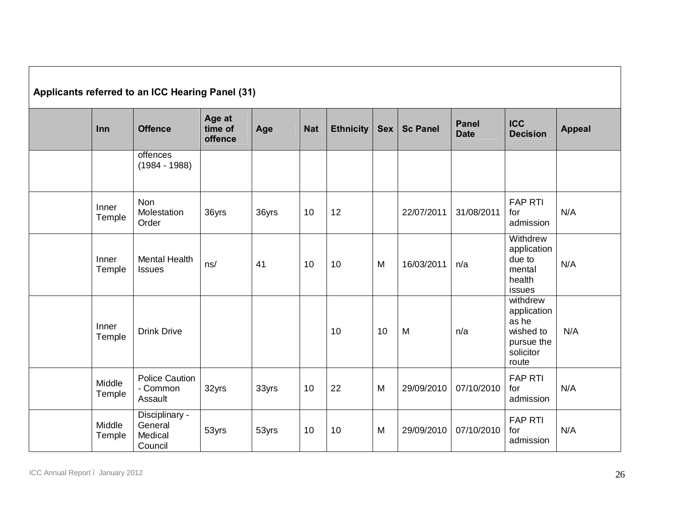| Applicants referred to an ICC Hearing Panel (31) |                  |                                                 |                              |       |            |                  |            |                 |                             |                                                                                   |               |
|--------------------------------------------------|------------------|-------------------------------------------------|------------------------------|-------|------------|------------------|------------|-----------------|-----------------------------|-----------------------------------------------------------------------------------|---------------|
|                                                  | Inn              | <b>Offence</b>                                  | Age at<br>time of<br>offence | Age   | <b>Nat</b> | <b>Ethnicity</b> | <b>Sex</b> | <b>Sc Panel</b> | <b>Panel</b><br><b>Date</b> | <b>ICC</b><br><b>Decision</b>                                                     | <b>Appeal</b> |
|                                                  |                  | offences<br>$(1984 - 1988)$                     |                              |       |            |                  |            |                 |                             |                                                                                   |               |
|                                                  | Inner<br>Temple  | Non<br>Molestation<br>Order                     | 36yrs                        | 36yrs | 10         | 12               |            | 22/07/2011      | 31/08/2011                  | <b>FAP RTI</b><br>for<br>admission                                                | N/A           |
|                                                  | Inner<br>Temple  | <b>Mental Health</b><br><b>Issues</b>           | ns/                          | 41    | 10         | 10               | M          | 16/03/2011      | n/a                         | Withdrew<br>application<br>due to<br>mental<br>health<br>issues                   | N/A           |
|                                                  | Inner<br>Temple  | <b>Drink Drive</b>                              |                              |       |            | 10               | 10         | M               | n/a                         | withdrew<br>application<br>as he<br>wished to<br>pursue the<br>solicitor<br>route | N/A           |
|                                                  | Middle<br>Temple | <b>Police Caution</b><br>- Common<br>Assault    | 32yrs                        | 33yrs | 10         | 22               | M          | 29/09/2010      | 07/10/2010                  | <b>FAP RTI</b><br>for<br>admission                                                | N/A           |
|                                                  | Middle<br>Temple | Disciplinary -<br>General<br>Medical<br>Council | 53yrs                        | 53yrs | 10         | 10               | M          | 29/09/2010      | 07/10/2010                  | <b>FAP RTI</b><br>for<br>admission                                                | N/A           |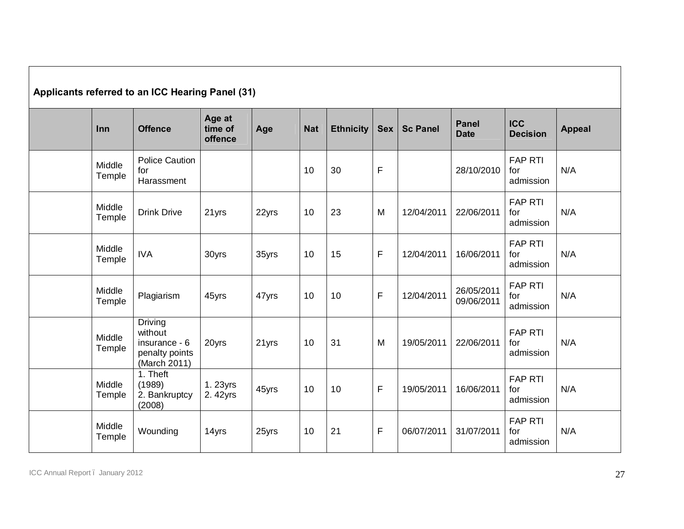| Applicants referred to an ICC Hearing Panel (31) |                  |                                                                       |                              |       |            |                  |              |                 |                             |                                    |               |
|--------------------------------------------------|------------------|-----------------------------------------------------------------------|------------------------------|-------|------------|------------------|--------------|-----------------|-----------------------------|------------------------------------|---------------|
|                                                  | Inn              | <b>Offence</b>                                                        | Age at<br>time of<br>offence | Age   | <b>Nat</b> | <b>Ethnicity</b> | <b>Sex</b>   | <b>Sc Panel</b> | <b>Panel</b><br><b>Date</b> | <b>ICC</b><br><b>Decision</b>      | <b>Appeal</b> |
|                                                  | Middle<br>Temple | <b>Police Caution</b><br>for<br>Harassment                            |                              |       | 10         | 30               | $\mathsf{F}$ |                 | 28/10/2010                  | <b>FAP RTI</b><br>for<br>admission | N/A           |
|                                                  | Middle<br>Temple | <b>Drink Drive</b>                                                    | 21yrs                        | 22yrs | 10         | 23               | M            | 12/04/2011      | 22/06/2011                  | <b>FAP RTI</b><br>for<br>admission | N/A           |
|                                                  | Middle<br>Temple | <b>IVA</b>                                                            | 30yrs                        | 35yrs | 10         | 15               | $\mathsf F$  | 12/04/2011      | 16/06/2011                  | <b>FAP RTI</b><br>for<br>admission | N/A           |
|                                                  | Middle<br>Temple | Plagiarism                                                            | 45yrs                        | 47yrs | 10         | 10               | $\mathsf F$  | 12/04/2011      | 26/05/2011<br>09/06/2011    | <b>FAP RTI</b><br>for<br>admission | N/A           |
|                                                  | Middle<br>Temple | Driving<br>without<br>insurance - 6<br>penalty points<br>(March 2011) | 20yrs                        | 21yrs | 10         | 31               | M            | 19/05/2011      | 22/06/2011                  | <b>FAP RTI</b><br>for<br>admission | N/A           |
|                                                  | Middle<br>Temple | 1. Theft<br>(1989)<br>2. Bankruptcy<br>(2008)                         | 1.23yrs<br>2.42yrs           | 45yrs | 10         | 10               | $\mathsf F$  | 19/05/2011      | 16/06/2011                  | <b>FAP RTI</b><br>for<br>admission | N/A           |
|                                                  | Middle<br>Temple | Wounding                                                              | 14yrs                        | 25yrs | 10         | 21               | F            | 06/07/2011      | 31/07/2011                  | <b>FAP RTI</b><br>for<br>admission | N/A           |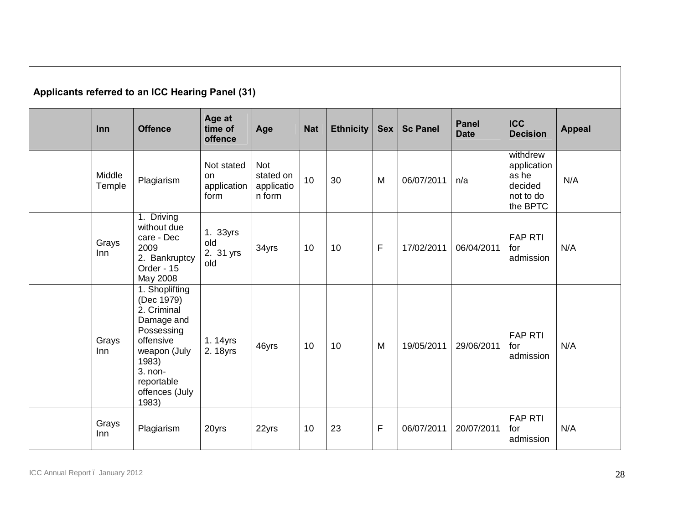| Applicants referred to an ICC Hearing Panel (31) |                  |                                                                                                                                                                   |                                         |                                                 |            |                  |              |                 |                             |                                                                      |               |
|--------------------------------------------------|------------------|-------------------------------------------------------------------------------------------------------------------------------------------------------------------|-----------------------------------------|-------------------------------------------------|------------|------------------|--------------|-----------------|-----------------------------|----------------------------------------------------------------------|---------------|
|                                                  | Inn              | <b>Offence</b>                                                                                                                                                    | Age at<br>time of<br>offence            | Age                                             | <b>Nat</b> | <b>Ethnicity</b> | <b>Sex</b>   | <b>Sc Panel</b> | <b>Panel</b><br><b>Date</b> | <b>ICC</b><br><b>Decision</b>                                        | <b>Appeal</b> |
|                                                  | Middle<br>Temple | Plagiarism                                                                                                                                                        | Not stated<br>on<br>application<br>form | <b>Not</b><br>stated on<br>applicatio<br>n form | 10         | 30               | M            | 06/07/2011      | n/a                         | withdrew<br>application<br>as he<br>decided<br>not to do<br>the BPTC | N/A           |
|                                                  | Grays<br>Inn     | 1. Driving<br>without due<br>care - Dec<br>2009<br>2. Bankruptcy<br>Order - 15<br>May 2008                                                                        | 1. 33yrs<br>old<br>2. 31 yrs<br>old     | 34yrs                                           | 10         | 10               | $\mathsf{F}$ | 17/02/2011      | 06/04/2011                  | <b>FAP RTI</b><br>for<br>admission                                   | N/A           |
|                                                  | Grays<br>Inn     | 1. Shoplifting<br>(Dec 1979)<br>2. Criminal<br>Damage and<br>Possessing<br>offensive<br>weapon (July<br>1983)<br>3. non-<br>reportable<br>offences (July<br>1983) | 1.14yrs<br>2. 18yrs                     | 46yrs                                           | 10         | 10               | M            | 19/05/2011      | 29/06/2011                  | <b>FAP RTI</b><br>for<br>admission                                   | N/A           |
|                                                  | Grays<br>Inn     | Plagiarism                                                                                                                                                        | 20yrs                                   | 22yrs                                           | 10         | 23               | F            | 06/07/2011      | 20/07/2011                  | <b>FAP RTI</b><br>for<br>admission                                   | N/A           |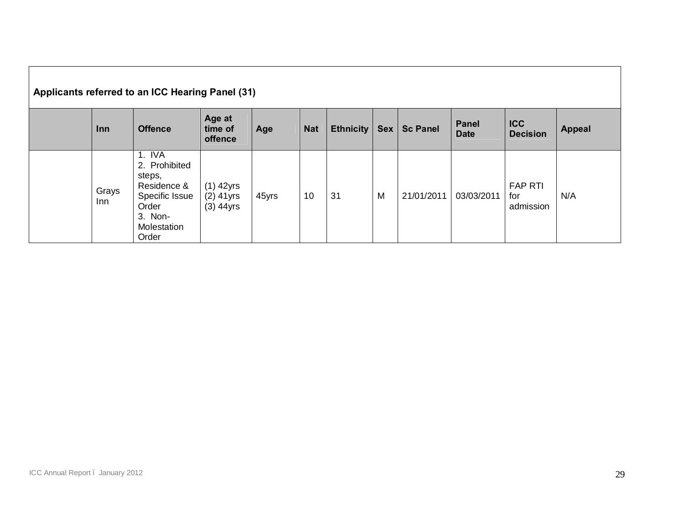| Applicants referred to an ICC Hearing Panel (31) |               |                                                                                                                |                                           |       |            |                  |            |                 |                             |                                    |               |
|--------------------------------------------------|---------------|----------------------------------------------------------------------------------------------------------------|-------------------------------------------|-------|------------|------------------|------------|-----------------|-----------------------------|------------------------------------|---------------|
|                                                  | <b>Inn</b>    | <b>Offence</b>                                                                                                 | Age at<br>time of<br>offence              | Age   | <b>Nat</b> | <b>Ethnicity</b> | <b>Sex</b> | <b>Sc Panel</b> | <b>Panel</b><br><b>Date</b> | <b>ICC</b><br><b>Decision</b>      | <b>Appeal</b> |
|                                                  | Grays<br>Inn. | 1. IVA<br>2. Prohibited<br>steps,<br>Residence &<br>Specific Issue<br>Order<br>3. Non-<br>Molestation<br>Order | $(1)$ 42yrs<br>$(2)$ 41yrs<br>$(3)$ 44yrs | 45yrs | 10         | 31               | M          | 21/01/2011      | 03/03/2011                  | <b>FAP RTI</b><br>for<br>admission | N/A           |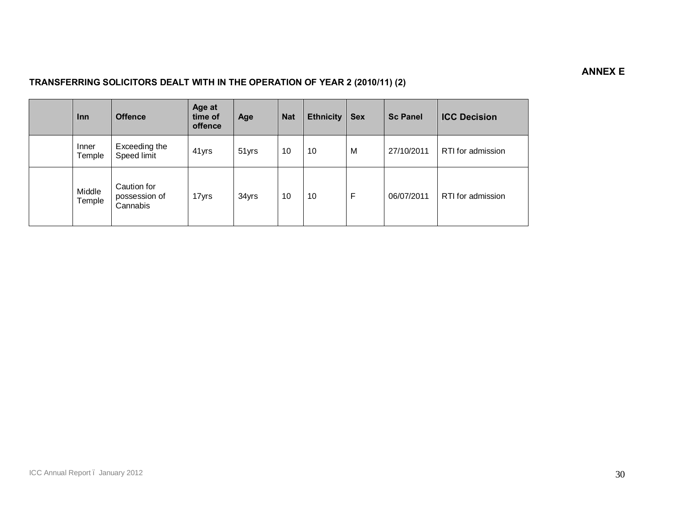## **ANNEX E**

## **TRANSFERRING SOLICITORS DEALT WITH IN THE OPERATION OF YEAR 2 (2010/11) (2)**

| <b>Inn</b>       | <b>Offence</b>                           | Age at<br>time of<br>offence | Age   | <b>Nat</b> | <b>Ethnicity</b> | <b>Sex</b> | <b>Sc Panel</b> | <b>ICC Decision</b> |
|------------------|------------------------------------------|------------------------------|-------|------------|------------------|------------|-----------------|---------------------|
| Inner<br>Temple  | Exceeding the<br>Speed limit             | 41yrs                        | 51yrs | 10         | 10               | M          | 27/10/2011      | RTI for admission   |
| Middle<br>Temple | Caution for<br>possession of<br>Cannabis | 17yrs                        | 34yrs | 10         | 10               | F          | 06/07/2011      | RTI for admission   |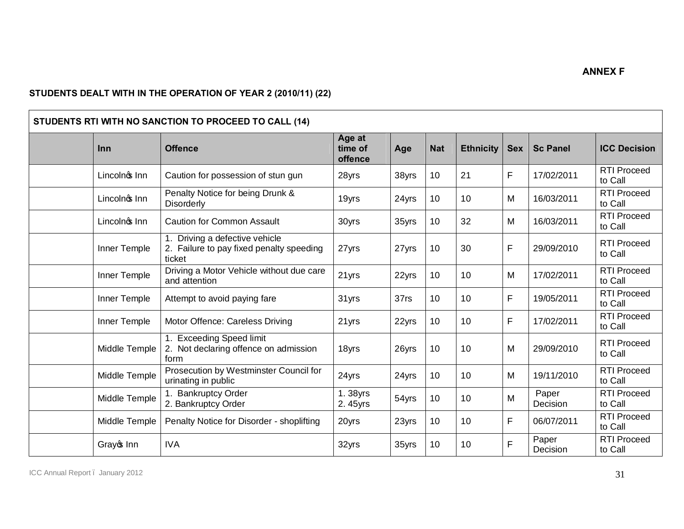## **STUDENTS DEALT WITH IN THE OPERATION OF YEAR 2 (2010/11) (22)**

| STUDENTS RTI WITH NO SANCTION TO PROCEED TO CALL (14) |                                                                                   |                              |       |            |                  |            |                   |                               |  |  |
|-------------------------------------------------------|-----------------------------------------------------------------------------------|------------------------------|-------|------------|------------------|------------|-------------------|-------------------------------|--|--|
| Inn                                                   | <b>Offence</b>                                                                    | Age at<br>time of<br>offence | Age   | <b>Nat</b> | <b>Ethnicity</b> | <b>Sex</b> | <b>Sc Panel</b>   | <b>ICC Decision</b>           |  |  |
| Lincolnos Inn                                         | Caution for possession of stun gun                                                | 28yrs                        | 38yrs | 10         | 21               | F          | 17/02/2011        | <b>RTI Proceed</b><br>to Call |  |  |
| Lincolnos Inn                                         | Penalty Notice for being Drunk &<br><b>Disorderly</b>                             | 19yrs                        | 24yrs | 10         | 10               | M          | 16/03/2011        | <b>RTI Proceed</b><br>to Call |  |  |
| Lincolnos Inn                                         | <b>Caution for Common Assault</b>                                                 | 30yrs                        | 35yrs | 10         | 32               | M          | 16/03/2011        | <b>RTI Proceed</b><br>to Call |  |  |
| Inner Temple                                          | Driving a defective vehicle<br>2. Failure to pay fixed penalty speeding<br>ticket | 27yrs                        | 27yrs | 10         | 30               | F          | 29/09/2010        | <b>RTI Proceed</b><br>to Call |  |  |
| Inner Temple                                          | Driving a Motor Vehicle without due care<br>and attention                         | 21yrs                        | 22yrs | 10         | 10               | M          | 17/02/2011        | <b>RTI Proceed</b><br>to Call |  |  |
| Inner Temple                                          | Attempt to avoid paying fare                                                      | 31yrs                        | 37rs  | 10         | 10               | F          | 19/05/2011        | <b>RTI Proceed</b><br>to Call |  |  |
| Inner Temple                                          | Motor Offence: Careless Driving                                                   | 21yrs                        | 22yrs | 10         | 10               | F.         | 17/02/2011        | <b>RTI Proceed</b><br>to Call |  |  |
| Middle Temple                                         | 1. Exceeding Speed limit<br>2. Not declaring offence on admission<br>form         | 18yrs                        | 26yrs | 10         | 10               | M          | 29/09/2010        | <b>RTI Proceed</b><br>to Call |  |  |
| Middle Temple                                         | Prosecution by Westminster Council for<br>urinating in public                     | 24yrs                        | 24yrs | 10         | 10               | M          | 19/11/2010        | <b>RTI Proceed</b><br>to Call |  |  |
| Middle Temple                                         | 1. Bankruptcy Order<br>2. Bankruptcy Order                                        | 1.38yrs<br>2.45yrs           | 54yrs | 10         | 10               | M          | Paper<br>Decision | <b>RTI Proceed</b><br>to Call |  |  |
| Middle Temple                                         | Penalty Notice for Disorder - shoplifting                                         | 20yrs                        | 23yrs | 10         | 10               | F          | 06/07/2011        | <b>RTI Proceed</b><br>to Call |  |  |
| Grayo Inn                                             | <b>IVA</b>                                                                        | 32yrs                        | 35yrs | 10         | 10               | F          | Paper<br>Decision | <b>RTI Proceed</b><br>to Call |  |  |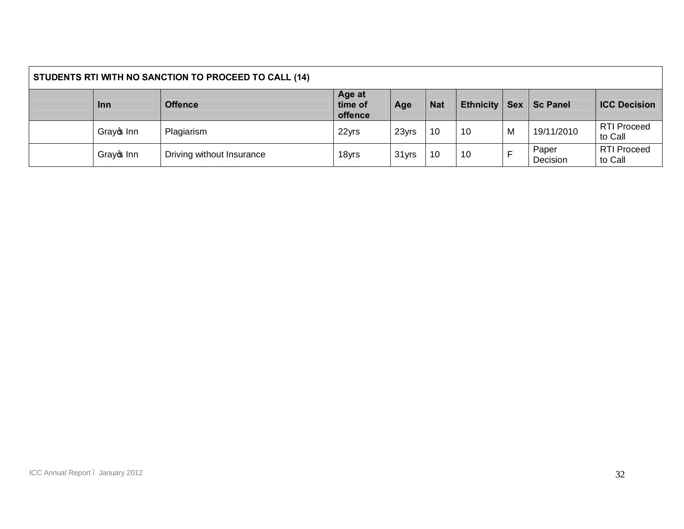| STUDENTS RTI WITH NO SANCTION TO PROCEED TO CALL (14) |            |                           |                              |       |            |           |   |                   |                               |
|-------------------------------------------------------|------------|---------------------------|------------------------------|-------|------------|-----------|---|-------------------|-------------------------------|
|                                                       | <b>Inn</b> | <b>Offence</b>            | Age at<br>time of<br>offence | Age   | <b>Nat</b> | Ethnicity |   | Sex   Sc Panel    | <b>ICC Decision</b>           |
|                                                       | Grayce Inn | Plagiarism                | 22yrs                        | 23yrs | 10         | 10        | M | 19/11/2010        | <b>RTI Proceed</b><br>to Call |
|                                                       | Grayce Inn | Driving without Insurance | 18yrs                        | 31yrs | 10         | 10        |   | Paper<br>Decision | <b>RTI Proceed</b><br>to Call |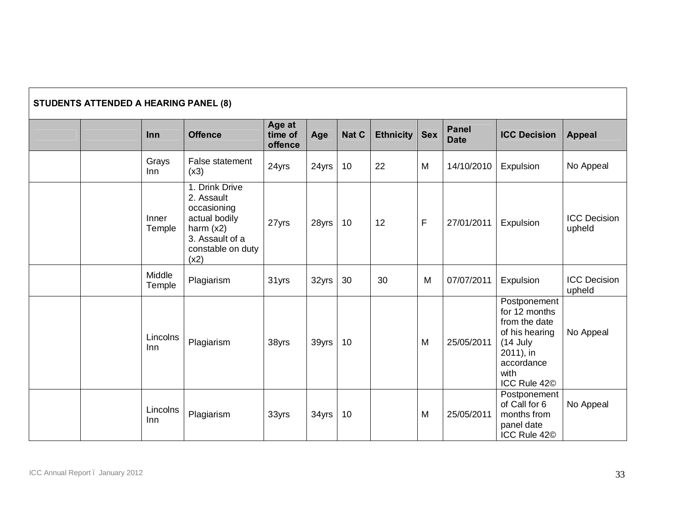| <b>STUDENTS ATTENDED A HEARING PANEL (8)</b> |                  |                                                                                                                             |                              |       |       |                  |             |                             |                                                                                                                                               |                               |
|----------------------------------------------|------------------|-----------------------------------------------------------------------------------------------------------------------------|------------------------------|-------|-------|------------------|-------------|-----------------------------|-----------------------------------------------------------------------------------------------------------------------------------------------|-------------------------------|
|                                              | Inn              | <b>Offence</b>                                                                                                              | Age at<br>time of<br>offence | Age   | Nat C | <b>Ethnicity</b> | <b>Sex</b>  | <b>Panel</b><br><b>Date</b> | <b>ICC Decision</b>                                                                                                                           | <b>Appeal</b>                 |
|                                              | Grays<br>Inn     | False statement<br>(x3)                                                                                                     | 24yrs                        | 24yrs | 10    | 22               | M           | 14/10/2010                  | Expulsion                                                                                                                                     | No Appeal                     |
|                                              | Inner<br>Temple  | 1. Drink Drive<br>2. Assault<br>occasioning<br>actual bodily<br>harm $(x2)$<br>3. Assault of a<br>constable on duty<br>(x2) | 27yrs                        | 28yrs | 10    | 12               | $\mathsf F$ | 27/01/2011                  | Expulsion                                                                                                                                     | <b>ICC Decision</b><br>upheld |
|                                              | Middle<br>Temple | Plagiarism                                                                                                                  | 31yrs                        | 32yrs | 30    | 30               | M           | 07/07/2011                  | Expulsion                                                                                                                                     | <b>ICC Decision</b><br>upheld |
|                                              | Lincolns<br>Inn  | Plagiarism                                                                                                                  | 38yrs                        | 39yrs | 10    |                  | M           | 25/05/2011                  | Postponement<br>for 12 months<br>from the date<br>of his hearing<br>$(14$ July<br>2011), in<br>accordance<br>with<br>ICC Rule 42 <sup>©</sup> | No Appeal                     |
|                                              | Lincolns<br>Inn  | Plagiarism                                                                                                                  | 33yrs                        | 34yrs | 10    |                  | M           | 25/05/2011                  | Postponement<br>of Call for 6<br>months from<br>panel date<br>ICC Rule 42 <sup>©</sup>                                                        | No Appeal                     |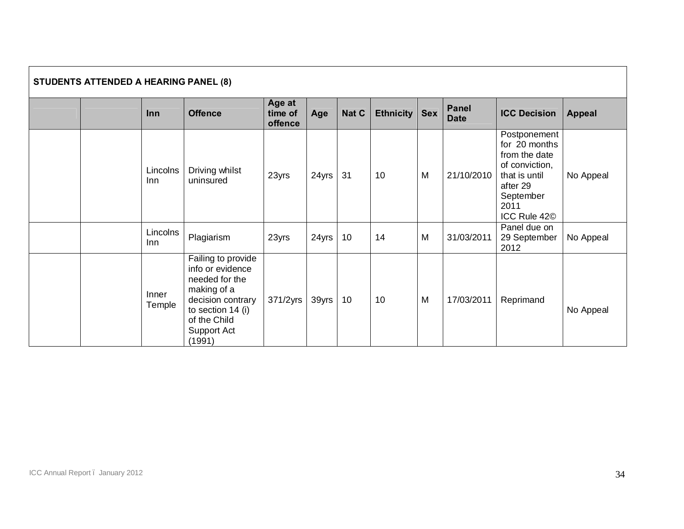| <b>STUDENTS ATTENDED A HEARING PANEL (8)</b> |                        |                                                                                                                                                            |                              |       |       |           |            |                             |                                                                                                                                                |               |
|----------------------------------------------|------------------------|------------------------------------------------------------------------------------------------------------------------------------------------------------|------------------------------|-------|-------|-----------|------------|-----------------------------|------------------------------------------------------------------------------------------------------------------------------------------------|---------------|
|                                              | Inn                    | <b>Offence</b>                                                                                                                                             | Age at<br>time of<br>offence | Age   | Nat C | Ethnicity | <b>Sex</b> | <b>Panel</b><br><b>Date</b> | <b>ICC Decision</b>                                                                                                                            | <b>Appeal</b> |
|                                              | Lincolns<br>lnn.       | Driving whilst<br>uninsured                                                                                                                                | 23yrs                        | 24yrs | 31    | 10        | M          | 21/10/2010                  | Postponement<br>for 20 months<br>from the date<br>of conviction,<br>that is until<br>after 29<br>September<br>2011<br>ICC Rule 42 <sup>©</sup> | No Appeal     |
|                                              | Lincolns<br><b>Inn</b> | Plagiarism                                                                                                                                                 | 23yrs                        | 24yrs | 10    | 14        | M          | 31/03/2011                  | Panel due on<br>29 September<br>2012                                                                                                           | No Appeal     |
|                                              | Inner<br>Temple        | Failing to provide<br>info or evidence<br>needed for the<br>making of a<br>decision contrary<br>to section 14 (i)<br>of the Child<br>Support Act<br>(1991) | 371/2yrs                     | 39yrs | 10    | 10        | M          | 17/03/2011                  | Reprimand                                                                                                                                      | No Appeal     |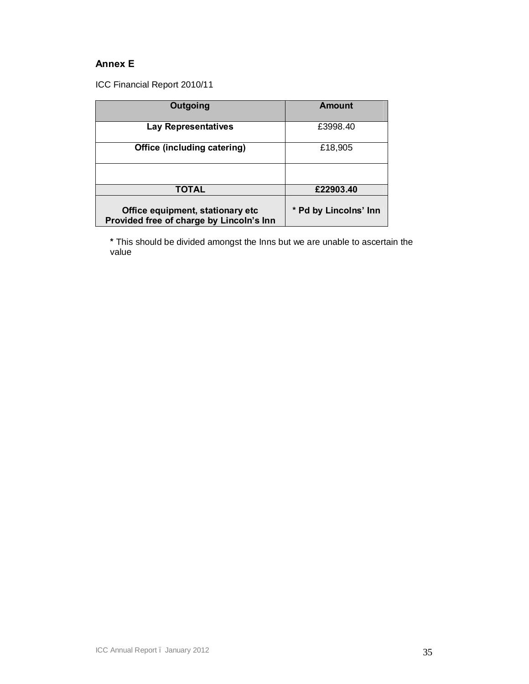## **Annex E**

ICC Financial Report 2010/11

| Outgoing                                                                     | Amount                |
|------------------------------------------------------------------------------|-----------------------|
| <b>Lay Representatives</b>                                                   | £3998.40              |
| Office (including catering)                                                  | £18,905               |
|                                                                              |                       |
| <b>TOTAL</b>                                                                 | £22903.40             |
| Office equipment, stationary etc<br>Provided free of charge by Lincoln's Inn | * Pd by Lincolns' Inn |

**\*** This should be divided amongst the Inns but we are unable to ascertain the value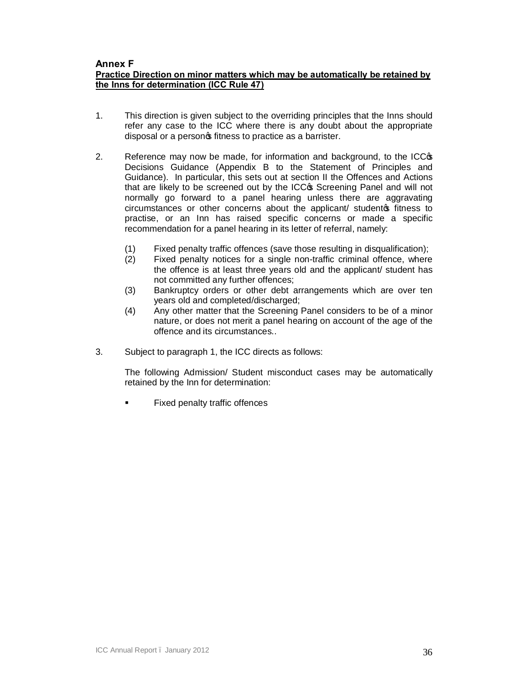## **Annex F**

## **Practice Direction on minor matters which may be automatically be retained by the Inns for determination (ICC Rule 47)**

- 1. This direction is given subject to the overriding principles that the Inns should refer any case to the ICC where there is any doubt about the appropriate disposal or a personos fitness to practice as a barrister.
- 2. Reference may now be made, for information and background, to the ICCG Decisions Guidance (Appendix B to the Statement of Principles and Guidance). In particular, this sets out at section II the Offences and Actions that are likely to be screened out by the ICCG Screening Panel and will not normally go forward to a panel hearing unless there are aggravating circumstances or other concerns about the applicant/ studentos fitness to practise, or an Inn has raised specific concerns or made a specific recommendation for a panel hearing in its letter of referral, namely:
	- (1) Fixed penalty traffic offences (save those resulting in disqualification);
	- (2) Fixed penalty notices for a single non-traffic criminal offence, where the offence is at least three years old and the applicant/ student has not committed any further offences;
	- (3) Bankruptcy orders or other debt arrangements which are over ten years old and completed/discharged;
	- (4) Any other matter that the Screening Panel considers to be of a minor nature, or does not merit a panel hearing on account of the age of the offence and its circumstances..
- 3. Subject to paragraph 1, the ICC directs as follows:

The following Admission/ Student misconduct cases may be automatically retained by the Inn for determination:

Fixed penalty traffic offences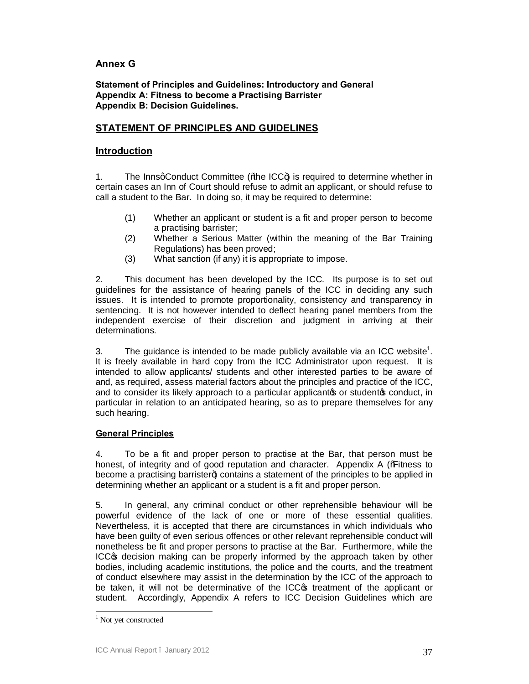## **Annex G**

**Statement of Principles and Guidelines: Introductory and General Appendix A: Fitness to become a Practising Barrister Appendix B: Decision Guidelines.**

## **STATEMENT OF PRINCIPLES AND GUIDELINES**

## **Introduction**

1. The InnsqConduct Committee (% be ICC+) is required to determine whether in certain cases an Inn of Court should refuse to admit an applicant, or should refuse to call a student to the Bar. In doing so, it may be required to determine:

- (1) Whether an applicant or student is a fit and proper person to become a practising barrister;
- (2) Whether a Serious Matter (within the meaning of the Bar Training Regulations) has been proved;
- (3) What sanction (if any) it is appropriate to impose.

2. This document has been developed by the ICC. Its purpose is to set out guidelines for the assistance of hearing panels of the ICC in deciding any such issues. It is intended to promote proportionality, consistency and transparency in sentencing. It is not however intended to deflect hearing panel members from the independent exercise of their discretion and judgment in arriving at their determinations.

3. The guidance is intended to be made publicly available via an ICC website<sup>1</sup>. It is freely available in hard copy from the ICC Administrator upon request. It is intended to allow applicants/ students and other interested parties to be aware of and, as required, assess material factors about the principles and practice of the ICC, and to consider its likely approach to a particular applicantos or studentos conduct, in particular in relation to an anticipated hearing, so as to prepare themselves for any such hearing.

## **General Principles**

4. To be a fit and proper person to practise at the Bar, that person must be honest, of integrity and of good reputation and character. Appendix A (% These sto become a practising barrister+) contains a statement of the principles to be applied in determining whether an applicant or a student is a fit and proper person.

5. In general, any criminal conduct or other reprehensible behaviour will be powerful evidence of the lack of one or more of these essential qualities. Nevertheless, it is accepted that there are circumstances in which individuals who have been guilty of even serious offences or other relevant reprehensible conduct will nonetheless be fit and proper persons to practise at the Bar. Furthermore, while the ICC<sub>®</sub> decision making can be properly informed by the approach taken by other bodies, including academic institutions, the police and the courts, and the treatment of conduct elsewhere may assist in the determination by the ICC of the approach to be taken, it will not be determinative of the ICC optreatment of the applicant or student. Accordingly, Appendix A refers to ICC Decision Guidelines which are

<sup>&</sup>lt;sup>1</sup> Not yet constructed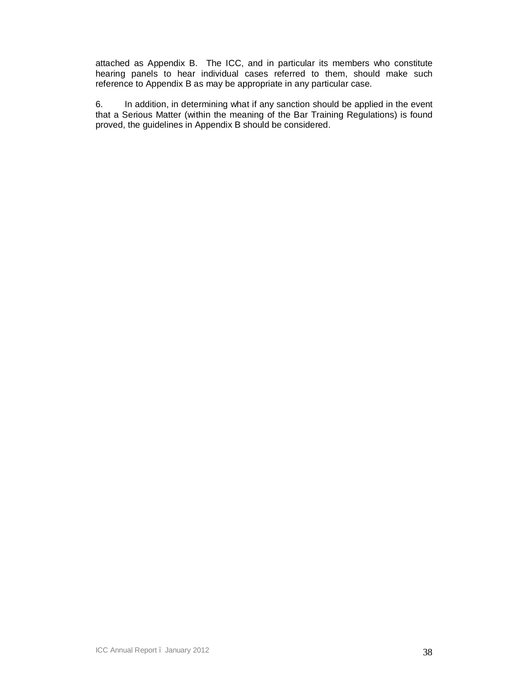attached as Appendix B. The ICC, and in particular its members who constitute hearing panels to hear individual cases referred to them, should make such reference to Appendix B as may be appropriate in any particular case.

6. In addition, in determining what if any sanction should be applied in the event that a Serious Matter (within the meaning of the Bar Training Regulations) is found proved, the guidelines in Appendix B should be considered.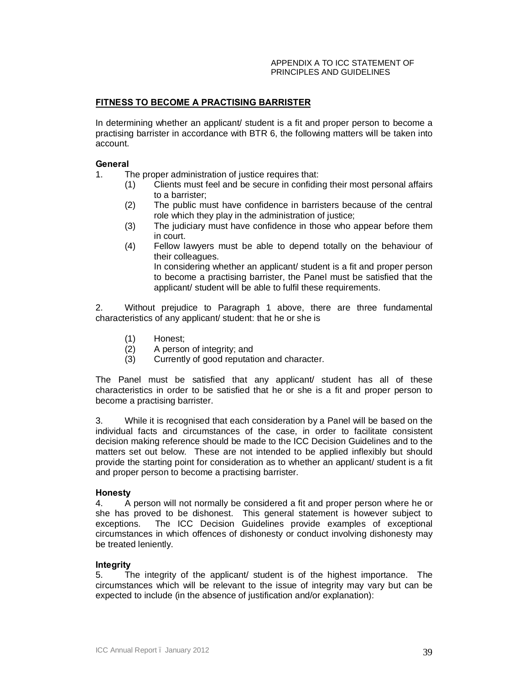#### APPENDIX A TO ICC STATEMENT OF PRINCIPLES AND GUIDELINES

## **FITNESS TO BECOME A PRACTISING BARRISTER**

In determining whether an applicant/ student is a fit and proper person to become a practising barrister in accordance with BTR 6, the following matters will be taken into account.

## **General**

- 1. The proper administration of justice requires that:
	- (1) Clients must feel and be secure in confiding their most personal affairs to a barrister;
	- (2) The public must have confidence in barristers because of the central role which they play in the administration of justice;
	- (3) The judiciary must have confidence in those who appear before them in court.
	- (4) Fellow lawyers must be able to depend totally on the behaviour of their colleagues.

In considering whether an applicant/ student is a fit and proper person to become a practising barrister, the Panel must be satisfied that the applicant/ student will be able to fulfil these requirements.

2. Without prejudice to Paragraph 1 above, there are three fundamental characteristics of any applicant/ student: that he or she is

- (1) Honest;
- (2) A person of integrity; and<br>(3) Currently of good reputati
- Currently of good reputation and character.

The Panel must be satisfied that any applicant/ student has all of these characteristics in order to be satisfied that he or she is a fit and proper person to become a practising barrister.

3. While it is recognised that each consideration by a Panel will be based on the individual facts and circumstances of the case, in order to facilitate consistent decision making reference should be made to the ICC Decision Guidelines and to the matters set out below. These are not intended to be applied inflexibly but should provide the starting point for consideration as to whether an applicant/ student is a fit and proper person to become a practising barrister.

#### **Honesty**

4. A person will not normally be considered a fit and proper person where he or she has proved to be dishonest. This general statement is however subject to exceptions. The ICC Decision Guidelines provide examples of exceptional circumstances in which offences of dishonesty or conduct involving dishonesty may be treated leniently.

## **Integrity**

5. The integrity of the applicant/ student is of the highest importance. The circumstances which will be relevant to the issue of integrity may vary but can be expected to include (in the absence of justification and/or explanation):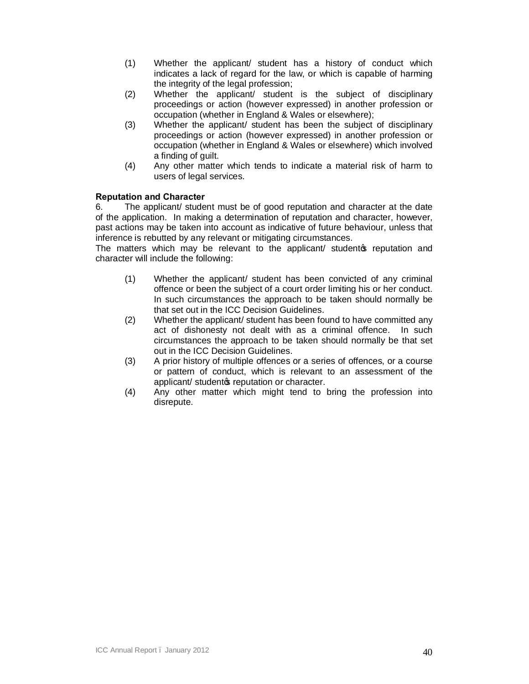- (1) Whether the applicant/ student has a history of conduct which indicates a lack of regard for the law, or which is capable of harming the integrity of the legal profession;
- (2) Whether the applicant/ student is the subject of disciplinary proceedings or action (however expressed) in another profession or occupation (whether in England & Wales or elsewhere);
- (3) Whether the applicant/ student has been the subject of disciplinary proceedings or action (however expressed) in another profession or occupation (whether in England & Wales or elsewhere) which involved a finding of guilt.
- (4) Any other matter which tends to indicate a material risk of harm to users of legal services.

## **Reputation and Character**

6. The applicant/ student must be of good reputation and character at the date of the application. In making a determination of reputation and character, however, past actions may be taken into account as indicative of future behaviour, unless that inference is rebutted by any relevant or mitigating circumstances.

The matters which may be relevant to the applicant/ studentos reputation and character will include the following:

- (1) Whether the applicant/ student has been convicted of any criminal offence or been the subject of a court order limiting his or her conduct. In such circumstances the approach to be taken should normally be that set out in the ICC Decision Guidelines.
- (2) Whether the applicant/ student has been found to have committed any act of dishonesty not dealt with as a criminal offence. In such circumstances the approach to be taken should normally be that set out in the ICC Decision Guidelines.
- (3) A prior history of multiple offences or a series of offences, or a course or pattern of conduct, which is relevant to an assessment of the applicant/ studento reputation or character.
- (4) Any other matter which might tend to bring the profession into disrepute.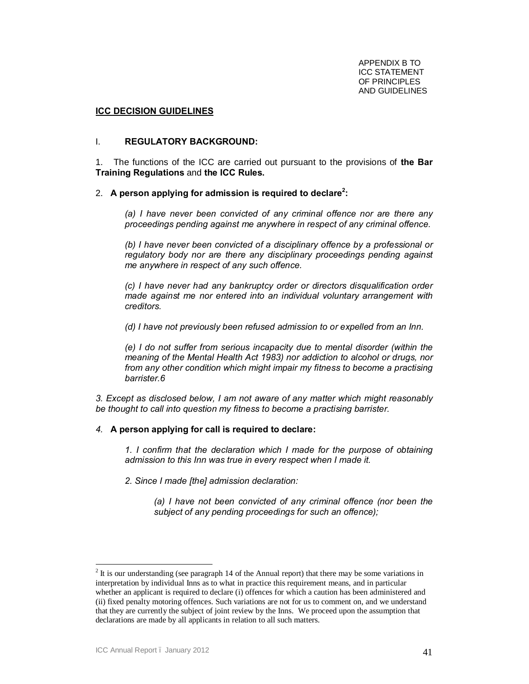APPENDIX B TO ICC STATEMENT OF PRINCIPLES AND GUIDELINES

### **ICC DECISION GUIDELINES**

#### I. **REGULATORY BACKGROUND:**

1.The functions of the ICC are carried out pursuant to the provisions of **the Bar Training Regulations** and **the ICC Rules.**

## 2. **A person applying for admission is required to declare<sup>2</sup> :**

*(a) I have never been convicted of any criminal offence nor are there any proceedings pending against me anywhere in respect of any criminal offence.* 

*(b) I have never been convicted of a disciplinary offence by a professional or regulatory body nor are there any disciplinary proceedings pending against me anywhere in respect of any such offence.* 

*(c) I have never had any bankruptcy order or directors disqualification order made against me nor entered into an individual voluntary arrangement with creditors.* 

*(d) I have not previously been refused admission to or expelled from an Inn.* 

*(e) I do not suffer from serious incapacity due to mental disorder (within the meaning of the Mental Health Act 1983) nor addiction to alcohol or drugs, nor from any other condition which might impair my fitness to become a practising barrister.6*

*3. Except as disclosed below, I am not aware of any matter which might reasonably be thought to call into question my fitness to become a practising barrister.* 

#### *4.* **A person applying for call is required to declare:**

*1. I confirm that the declaration which I made for the purpose of obtaining admission to this Inn was true in every respect when I made it.* 

*2. Since I made [the] admission declaration:* 

*(a) I have not been convicted of any criminal offence (nor been the subject of any pending proceedings for such an offence);* 

 $2$  It is our understanding (see paragraph 14 of the Annual report) that there may be some variations in interpretation by individual Inns as to what in practice this requirement means, and in particular whether an applicant is required to declare (i) offences for which a caution has been administered and (ii) fixed penalty motoring offences. Such variations are not for us to comment on, and we understand that they are currently the subject of joint review by the Inns. We proceed upon the assumption that declarations are made by all applicants in relation to all such matters.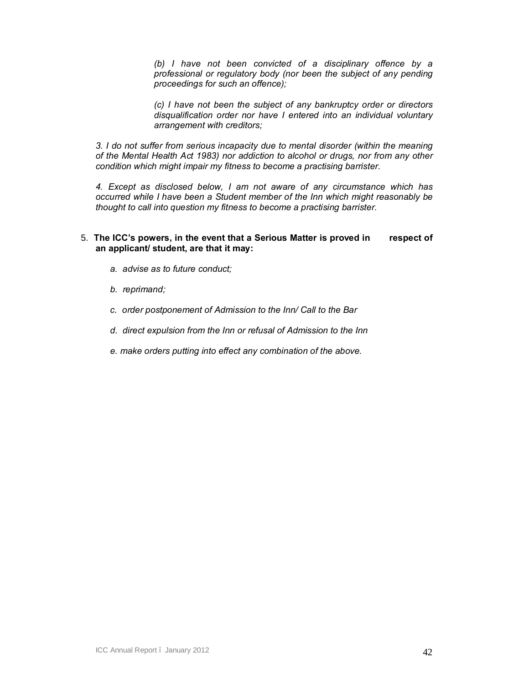*(b) I have not been convicted of a disciplinary offence by a professional or regulatory body (nor been the subject of any pending proceedings for such an offence);* 

*(c) I have not been the subject of any bankruptcy order or directors disqualification order nor have I entered into an individual voluntary arrangement with creditors;* 

*3. I do not suffer from serious incapacity due to mental disorder (within the meaning of the Mental Health Act 1983) nor addiction to alcohol or drugs, nor from any other condition which might impair my fitness to become a practising barrister.* 

*4. Except as disclosed below, I am not aware of any circumstance which has occurred while I have been a Student member of the Inn which might reasonably be thought to call into question my fitness to become a practising barrister.*

## 5. **The ICC's powers, in the event that a Serious Matter is proved in respect of an applicant/ student, are that it may:**

- *a. advise as to future conduct;*
- *b. reprimand;*
- *c. order postponement of Admission to the Inn/ Call to the Bar*
- *d. direct expulsion from the Inn or refusal of Admission to the Inn*
- *e. make orders putting into effect any combination of the above.*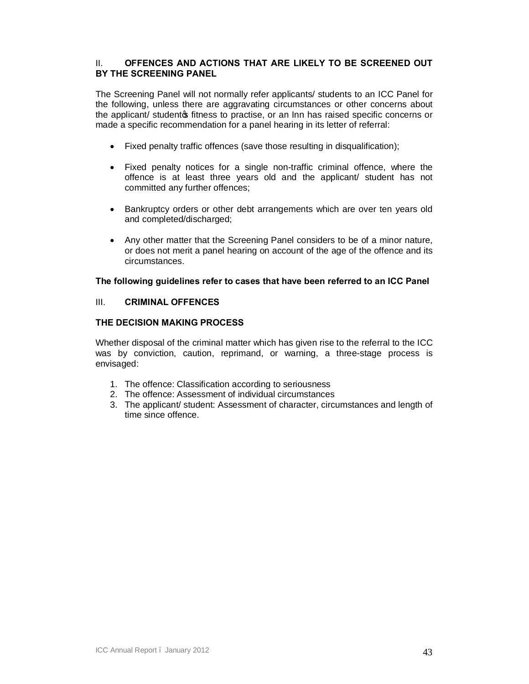## II. **OFFENCES AND ACTIONS THAT ARE LIKELY TO BE SCREENED OUT BY THE SCREENING PANEL**

The Screening Panel will not normally refer applicants/ students to an ICC Panel for the following, unless there are aggravating circumstances or other concerns about the applicant/ student of fitness to practise, or an Inn has raised specific concerns or made a specific recommendation for a panel hearing in its letter of referral:

- · Fixed penalty traffic offences (save those resulting in disqualification);
- · Fixed penalty notices for a single non-traffic criminal offence, where the offence is at least three years old and the applicant/ student has not committed any further offences;
- · Bankruptcy orders or other debt arrangements which are over ten years old and completed/discharged;
- · Any other matter that the Screening Panel considers to be of a minor nature, or does not merit a panel hearing on account of the age of the offence and its circumstances.

## **The following guidelines refer to cases that have been referred to an ICC Panel**

## III. **CRIMINAL OFFENCES**

## **THE DECISION MAKING PROCESS**

Whether disposal of the criminal matter which has given rise to the referral to the ICC was by conviction, caution, reprimand, or warning, a three-stage process is envisaged:

- 1. The offence: Classification according to seriousness
- 2. The offence: Assessment of individual circumstances
- 3. The applicant/ student: Assessment of character, circumstances and length of time since offence.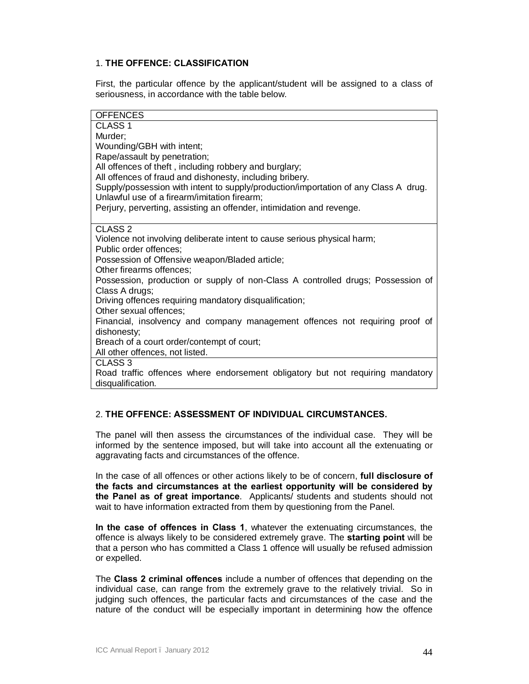## 1. **THE OFFENCE: CLASSIFICATION**

First, the particular offence by the applicant/student will be assigned to a class of seriousness, in accordance with the table below.

| <b>OFFENCES</b>                                                                     |
|-------------------------------------------------------------------------------------|
| CLASS <sub>1</sub>                                                                  |
| Murder;                                                                             |
| Wounding/GBH with intent;                                                           |
| Rape/assault by penetration;                                                        |
| All offences of theft, including robbery and burglary;                              |
| All offences of fraud and dishonesty, including bribery.                            |
| Supply/possession with intent to supply/production/importation of any Class A drug. |
| Unlawful use of a firearm/imitation firearm;                                        |
| Perjury, perverting, assisting an offender, intimidation and revenge.               |
|                                                                                     |
| CLASS <sub>2</sub>                                                                  |
| Violence not involving deliberate intent to cause serious physical harm;            |
| Public order offences;                                                              |
| Possession of Offensive weapon/Bladed article;                                      |
| Other firearms offences;                                                            |
| Possession, production or supply of non-Class A controlled drugs; Possession of     |
| Class A drugs;                                                                      |
| Driving offences requiring mandatory disqualification;                              |
| Other sexual offences;                                                              |
| Financial, insolvency and company management offences not requiring proof of        |
| dishonesty;<br>Breach of a court order/contempt of court;                           |
| All other offences, not listed.                                                     |
| CLASS <sub>3</sub>                                                                  |
| Road traffic offences where endorsement obligatory but not requiring mandatory      |
| disqualification.                                                                   |
|                                                                                     |

## 2. **THE OFFENCE: ASSESSMENT OF INDIVIDUAL CIRCUMSTANCES.**

The panel will then assess the circumstances of the individual case. They will be informed by the sentence imposed, but will take into account all the extenuating or aggravating facts and circumstances of the offence.

In the case of all offences or other actions likely to be of concern, **full disclosure of the facts and circumstances at the earliest opportunity will be considered by the Panel as of great importance**. Applicants/ students and students should not wait to have information extracted from them by questioning from the Panel.

**In the case of offences in Class 1**, whatever the extenuating circumstances, the offence is always likely to be considered extremely grave. The **starting point** will be that a person who has committed a Class 1 offence will usually be refused admission or expelled.

The **Class 2 criminal offences** include a number of offences that depending on the individual case, can range from the extremely grave to the relatively trivial. So in judging such offences, the particular facts and circumstances of the case and the nature of the conduct will be especially important in determining how the offence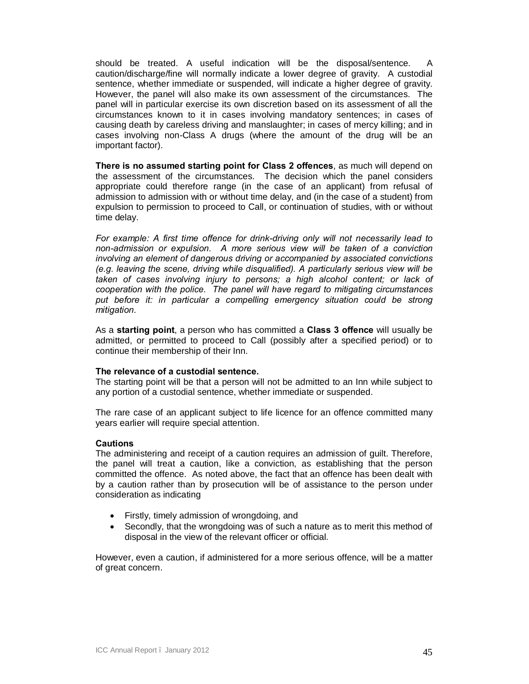should be treated. A useful indication will be the disposal/sentence. caution/discharge/fine will normally indicate a lower degree of gravity. A custodial sentence, whether immediate or suspended, will indicate a higher degree of gravity. However, the panel will also make its own assessment of the circumstances. The panel will in particular exercise its own discretion based on its assessment of all the circumstances known to it in cases involving mandatory sentences; in cases of causing death by careless driving and manslaughter; in cases of mercy killing; and in cases involving non-Class A drugs (where the amount of the drug will be an important factor).

**There is no assumed starting point for Class 2 offences**, as much will depend on the assessment of the circumstances. The decision which the panel considers appropriate could therefore range (in the case of an applicant) from refusal of admission to admission with or without time delay, and (in the case of a student) from expulsion to permission to proceed to Call, or continuation of studies, with or without time delay.

*For example: A first time offence for drink-driving only will not necessarily lead to non-admission or expulsion. A more serious view will be taken of a conviction involving an element of dangerous driving or accompanied by associated convictions (e.g. leaving the scene, driving while disqualified). A particularly serious view will be*  taken of cases involving injury to persons; a high alcohol content; or lack of *cooperation with the police. The panel will have regard to mitigating circumstances*  put before it: in particular a compelling emergency situation could be strong *mitigation.*

As a **starting point**, a person who has committed a **Class 3 offence** will usually be admitted, or permitted to proceed to Call (possibly after a specified period) or to continue their membership of their Inn.

#### **The relevance of a custodial sentence.**

The starting point will be that a person will not be admitted to an Inn while subject to any portion of a custodial sentence, whether immediate or suspended.

The rare case of an applicant subject to life licence for an offence committed many years earlier will require special attention.

#### **Cautions**

The administering and receipt of a caution requires an admission of guilt. Therefore, the panel will treat a caution, like a conviction, as establishing that the person committed the offence. As noted above, the fact that an offence has been dealt with by a caution rather than by prosecution will be of assistance to the person under consideration as indicating

- · Firstly, timely admission of wrongdoing, and
- Secondly, that the wrongdoing was of such a nature as to merit this method of disposal in the view of the relevant officer or official.

However, even a caution, if administered for a more serious offence, will be a matter of great concern.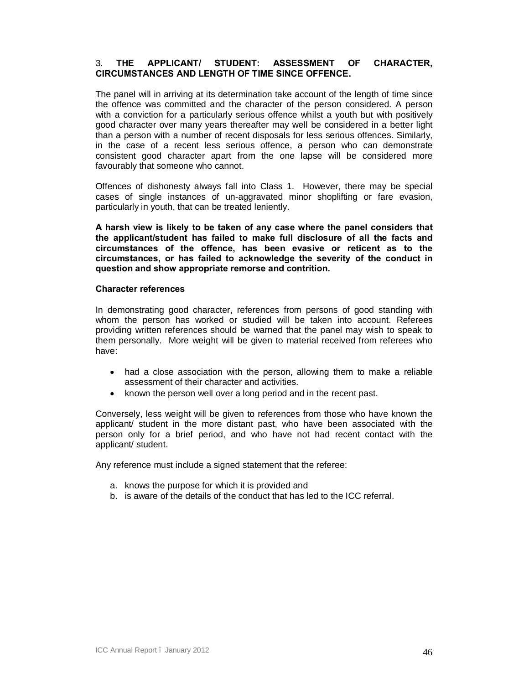## 3. **THE APPLICANT/ STUDENT: ASSESSMENT OF CHARACTER, CIRCUMSTANCES AND LENGTH OF TIME SINCE OFFENCE.**

The panel will in arriving at its determination take account of the length of time since the offence was committed and the character of the person considered. A person with a conviction for a particularly serious offence whilst a youth but with positively good character over many years thereafter may well be considered in a better light than a person with a number of recent disposals for less serious offences. Similarly, in the case of a recent less serious offence, a person who can demonstrate consistent good character apart from the one lapse will be considered more favourably that someone who cannot.

Offences of dishonesty always fall into Class 1. However, there may be special cases of single instances of un-aggravated minor shoplifting or fare evasion, particularly in youth, that can be treated leniently.

**A harsh view is likely to be taken of any case where the panel considers that the applicant/student has failed to make full disclosure of all the facts and circumstances of the offence, has been evasive or reticent as to the circumstances, or has failed to acknowledge the severity of the conduct in question and show appropriate remorse and contrition.**

#### **Character references**

In demonstrating good character, references from persons of good standing with whom the person has worked or studied will be taken into account. Referees providing written references should be warned that the panel may wish to speak to them personally. More weight will be given to material received from referees who have:

- had a close association with the person, allowing them to make a reliable assessment of their character and activities.
- · known the person well over a long period and in the recent past.

Conversely, less weight will be given to references from those who have known the applicant/ student in the more distant past, who have been associated with the person only for a brief period, and who have not had recent contact with the applicant/ student.

Any reference must include a signed statement that the referee:

- a. knows the purpose for which it is provided and
- b. is aware of the details of the conduct that has led to the ICC referral.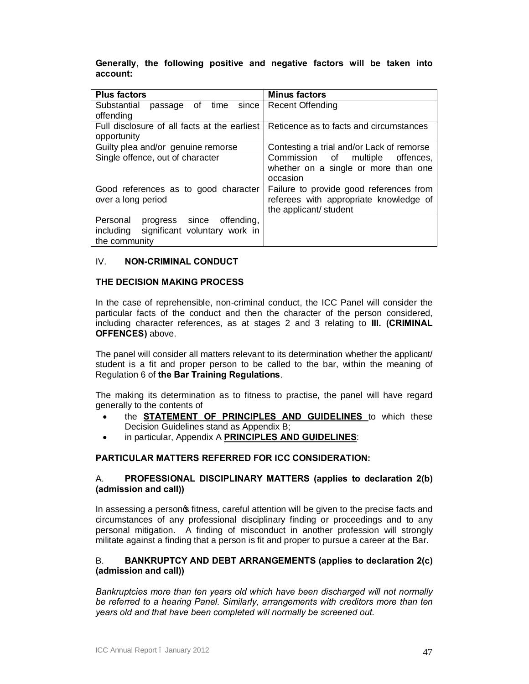## **Generally, the following positive and negative factors will be taken into account:**

| <b>Plus factors</b>                          | <b>Minus factors</b>                                                                    |
|----------------------------------------------|-----------------------------------------------------------------------------------------|
| Substantial<br>passage of time since         | Recent Offending                                                                        |
| offending                                    |                                                                                         |
| Full disclosure of all facts at the earliest | Reticence as to facts and circumstances                                                 |
| opportunity                                  |                                                                                         |
| Guilty plea and/or genuine remorse           | Contesting a trial and/or Lack of remorse                                               |
| Single offence, out of character             | Commission of multiple<br>offences.<br>whether on a single or more than one<br>occasion |
| Good references as to good character         | Failure to provide good references from                                                 |
| over a long period                           | referees with appropriate knowledge of                                                  |
|                                              | the applicant/ student                                                                  |
| progress since<br>offending,<br>Personal     |                                                                                         |
| significant voluntary work in<br>including   |                                                                                         |
| the community                                |                                                                                         |

## IV. **NON-CRIMINAL CONDUCT**

## **THE DECISION MAKING PROCESS**

In the case of reprehensible, non-criminal conduct, the ICC Panel will consider the particular facts of the conduct and then the character of the person considered, including character references, as at stages 2 and 3 relating to **III. (CRIMINAL OFFENCES)** above.

The panel will consider all matters relevant to its determination whether the applicant/ student is a fit and proper person to be called to the bar, within the meaning of Regulation 6 of **the Bar Training Regulations**.

The making its determination as to fitness to practise, the panel will have regard generally to the contents of

- · the **STATEMENT OF PRINCIPLES AND GUIDELINES** to which these Decision Guidelines stand as Appendix B;
- · in particular, Appendix A **PRINCIPLES AND GUIDELINES**:

#### **PARTICULAR MATTERS REFERRED FOR ICC CONSIDERATION:**

## A. **PROFESSIONAL DISCIPLINARY MATTERS (applies to declaration 2(b) (admission and call))**

In assessing a persong fitness, careful attention will be given to the precise facts and circumstances of any professional disciplinary finding or proceedings and to any personal mitigation. A finding of misconduct in another profession will strongly militate against a finding that a person is fit and proper to pursue a career at the Bar.

## B. **BANKRUPTCY AND DEBT ARRANGEMENTS (applies to declaration 2(c) (admission and call))**

*Bankruptcies more than ten years old which have been discharged will not normally*  be referred to a hearing Panel. Similarly, arrangements with creditors more than ten *years old and that have been completed will normally be screened out.*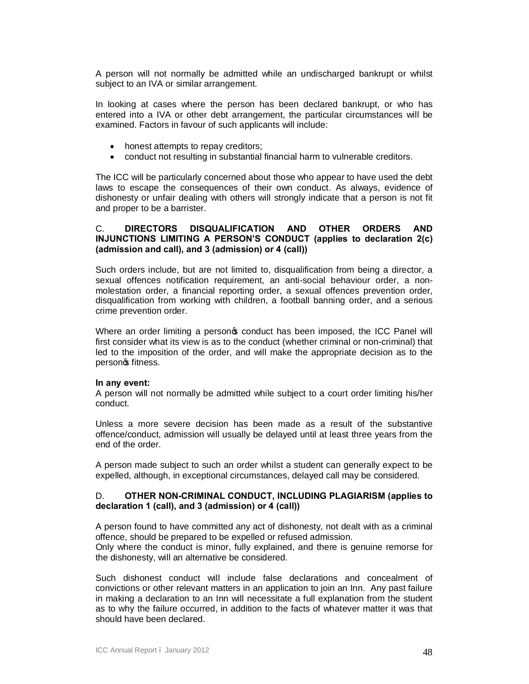A person will not normally be admitted while an undischarged bankrupt or whilst subject to an IVA or similar arrangement.

In looking at cases where the person has been declared bankrupt, or who has entered into a IVA or other debt arrangement, the particular circumstances will be examined. Factors in favour of such applicants will include:

- honest attempts to repay creditors;
- · conduct not resulting in substantial financial harm to vulnerable creditors.

The ICC will be particularly concerned about those who appear to have used the debt laws to escape the consequences of their own conduct. As always, evidence of dishonesty or unfair dealing with others will strongly indicate that a person is not fit and proper to be a barrister.

## C. **DIRECTORS DISQUALIFICATION AND OTHER ORDERS AND INJUNCTIONS LIMITING A PERSON'S CONDUCT (applies to declaration 2(c) (admission and call), and 3 (admission) or 4 (call))**

Such orders include, but are not limited to, disqualification from being a director, a sexual offences notification requirement, an anti-social behaviour order, a nonmolestation order, a financial reporting order, a sexual offences prevention order, disqualification from working with children, a football banning order, and a serious crime prevention order.

Where an order limiting a person t conduct has been imposed, the ICC Panel will first consider what its view is as to the conduct (whether criminal or non-criminal) that led to the imposition of the order, and will make the appropriate decision as to the person<sub>o</sub> fitness.

#### **In any event:**

A person will not normally be admitted while subject to a court order limiting his/her conduct.

Unless a more severe decision has been made as a result of the substantive offence/conduct, admission will usually be delayed until at least three years from the end of the order.

A person made subject to such an order whilst a student can generally expect to be expelled, although, in exceptional circumstances, delayed call may be considered.

#### D. **OTHER NON-CRIMINAL CONDUCT, INCLUDING PLAGIARISM (applies to declaration 1 (call), and 3 (admission) or 4 (call))**

A person found to have committed any act of dishonesty, not dealt with as a criminal offence, should be prepared to be expelled or refused admission.

Only where the conduct is minor, fully explained, and there is genuine remorse for the dishonesty, will an alternative be considered.

Such dishonest conduct will include false declarations and concealment of convictions or other relevant matters in an application to join an Inn. Any past failure in making a declaration to an Inn will necessitate a full explanation from the student as to why the failure occurred, in addition to the facts of whatever matter it was that should have been declared.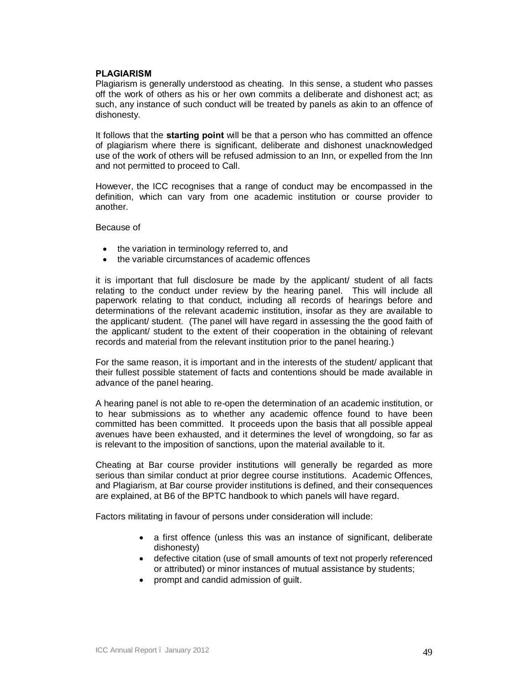## **PLAGIARISM**

Plagiarism is generally understood as cheating. In this sense, a student who passes off the work of others as his or her own commits a deliberate and dishonest act; as such, any instance of such conduct will be treated by panels as akin to an offence of dishonesty.

It follows that the **starting point** will be that a person who has committed an offence of plagiarism where there is significant, deliberate and dishonest unacknowledged use of the work of others will be refused admission to an Inn, or expelled from the Inn and not permitted to proceed to Call.

However, the ICC recognises that a range of conduct may be encompassed in the definition, which can vary from one academic institution or course provider to another.

Because of

- the variation in terminology referred to, and
- · the variable circumstances of academic offences

it is important that full disclosure be made by the applicant/ student of all facts relating to the conduct under review by the hearing panel. This will include all paperwork relating to that conduct, including all records of hearings before and determinations of the relevant academic institution, insofar as they are available to the applicant/ student. (The panel will have regard in assessing the the good faith of the applicant/ student to the extent of their cooperation in the obtaining of relevant records and material from the relevant institution prior to the panel hearing.)

For the same reason, it is important and in the interests of the student/ applicant that their fullest possible statement of facts and contentions should be made available in advance of the panel hearing.

A hearing panel is not able to re-open the determination of an academic institution, or to hear submissions as to whether any academic offence found to have been committed has been committed. It proceeds upon the basis that all possible appeal avenues have been exhausted, and it determines the level of wrongdoing, so far as is relevant to the imposition of sanctions, upon the material available to it.

Cheating at Bar course provider institutions will generally be regarded as more serious than similar conduct at prior degree course institutions. Academic Offences, and Plagiarism, at Bar course provider institutions is defined, and their consequences are explained, at B6 of the BPTC handbook to which panels will have regard.

Factors militating in favour of persons under consideration will include:

- a first offence (unless this was an instance of significant, deliberate dishonesty)
- · defective citation (use of small amounts of text not properly referenced or attributed) or minor instances of mutual assistance by students;
- · prompt and candid admission of guilt.